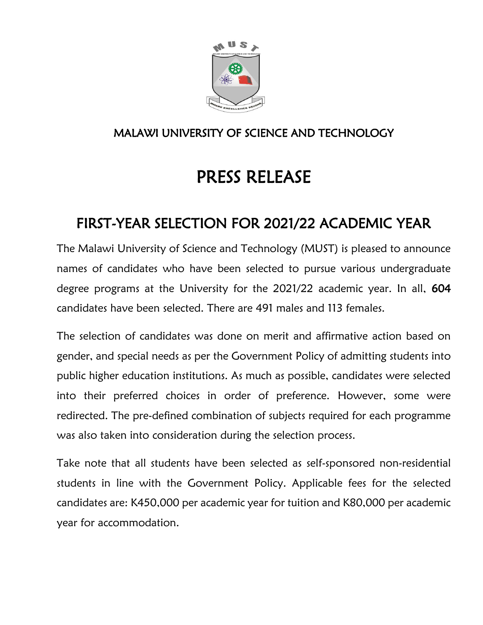

### MALAWI UNIVERSITY OF SCIENCE AND TECHNOLOGY

# PRESS RELEASE

## FIRST-YEAR SELECTION FOR 2021/22 ACADEMIC YEAR

The Malawi University of Science and Technology (MUST) is pleased to announce names of candidates who have been selected to pursue various undergraduate degree programs at the University for the 2021/22 academic year. In all, 604 candidates have been selected. There are 491 males and 113 females.

The selection of candidates was done on merit and affirmative action based on gender, and special needs as per the Government Policy of admitting students into public higher education institutions. As much as possible, candidates were selected into their preferred choices in order of preference. However, some were redirected. The pre-defined combination of subjects required for each programme was also taken into consideration during the selection process.

Take note that all students have been selected as self-sponsored non-residential students in line with the Government Policy. Applicable fees for the selected candidates are: K450,000 per academic year for tuition and K80,000 per academic year for accommodation.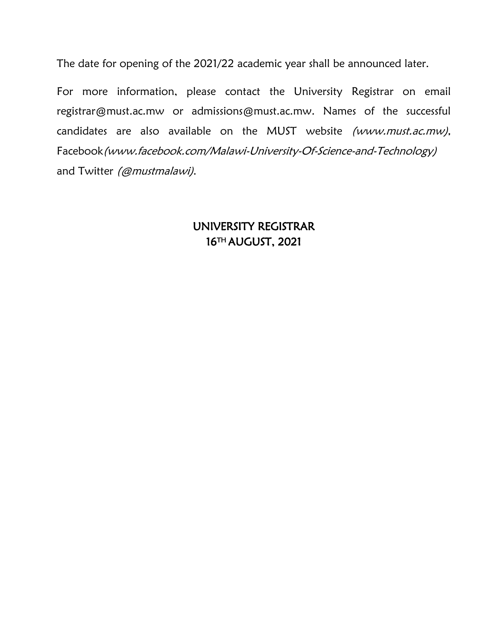The date for opening of the 2021/22 academic year shall be announced later.

For more information, please contact the University Registrar on email [registrar@must.ac.mw](mailto:registrar@must.ac.mw) or [admissions@must.ac.mw.](mailto:admissions@must.ac.mw) Names of the successful candidates are also available on the MUST website [\(www.must.ac.mw\)](http://www.must.ac.mw/), Facebook[\(www.facebook.com/Malawi-University-Of-Science-and-Technology\)](http://www.facebook.com/Malawi-University-Of-Science-and-Technology) and Twitter (@mustmalawi).

#### UNIVERSITY REGISTRAR 16TH AUGUST, 2021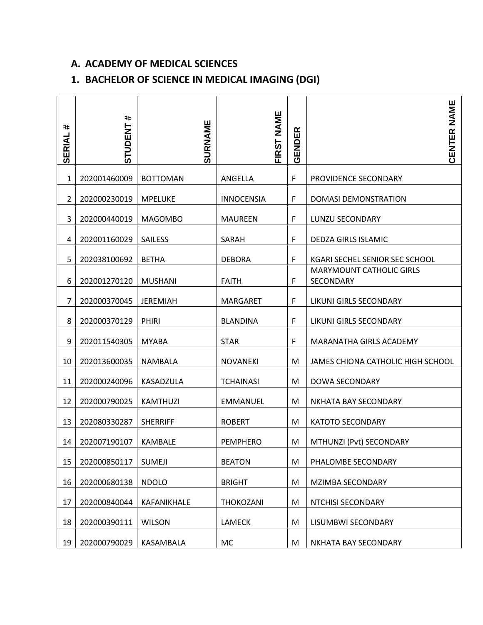#### **A. ACADEMY OF MEDICAL SCIENCES**

#### **1. BACHELOR OF SCIENCE IN MEDICAL IMAGING (DGI)**

| #<br><b>SERIAL</b> | #<br><b>STUDENT</b> | <b>SURNAME</b>  | <b>NAME</b><br>FIRST | GENDER | <b>CENTER NAME</b>                           |
|--------------------|---------------------|-----------------|----------------------|--------|----------------------------------------------|
| 1                  | 202001460009        | <b>BOTTOMAN</b> | ANGELLA              | F      | PROVIDENCE SECONDARY                         |
| $\overline{2}$     | 202000230019        | <b>MPELUKE</b>  | <b>INNOCENSIA</b>    | F      | <b>DOMASI DEMONSTRATION</b>                  |
| 3                  | 202000440019        | <b>MAGOMBO</b>  | <b>MAUREEN</b>       | F      | LUNZU SECONDARY                              |
| 4                  | 202001160029        | SAILESS         | SARAH                | F      | DEDZA GIRLS ISLAMIC                          |
| 5                  | 202038100692        | <b>BETHA</b>    | <b>DEBORA</b>        | F      | KGARI SECHEL SENIOR SEC SCHOOL               |
| 6                  | 202001270120        | <b>MUSHANI</b>  | <b>FAITH</b>         | F      | <b>MARYMOUNT CATHOLIC GIRLS</b><br>SECONDARY |
| 7                  | 202000370045        | <b>JEREMIAH</b> | <b>MARGARET</b>      | F      | LIKUNI GIRLS SECONDARY                       |
| 8                  | 202000370129        | PHIRI           | <b>BLANDINA</b>      | F      | LIKUNI GIRLS SECONDARY                       |
| 9                  | 202011540305        | <b>MYABA</b>    | <b>STAR</b>          | F      | MARANATHA GIRLS ACADEMY                      |
| 10                 | 202013600035        | <b>NAMBALA</b>  | <b>NOVANEKI</b>      | M      | JAMES CHIONA CATHOLIC HIGH SCHOOL            |
| 11                 | 202000240096        | KASADZULA       | <b>TCHAINASI</b>     | M      | DOWA SECONDARY                               |
| 12                 | 202000790025        | <b>KAMTHUZI</b> | <b>EMMANUEL</b>      | M      | NKHATA BAY SECONDARY                         |
| 13                 | 202080330287        | <b>SHERRIFF</b> | <b>ROBERT</b>        | M      | <b>KATOTO SECONDARY</b>                      |
| 14                 | 202007190107        | <b>KAMBALE</b>  | <b>PEMPHERO</b>      | M      | MTHUNZI (Pvt) SECONDARY                      |
| 15                 | 202000850117        | <b>SUMEJI</b>   | <b>BEATON</b>        | M      | PHALOMBE SECONDARY                           |
| 16                 | 202000680138        | <b>NDOLO</b>    | <b>BRIGHT</b>        | M      | MZIMBA SECONDARY                             |
| 17                 | 202000840044        | KAFANIKHALE     | THOKOZANI            | M      | NTCHISI SECONDARY                            |
| 18                 | 202000390111        | <b>WILSON</b>   | LAMECK               | M      | LISUMBWI SECONDARY                           |
| 19                 | 202000790029        | KASAMBALA       | <b>MC</b>            | M      | NKHATA BAY SECONDARY                         |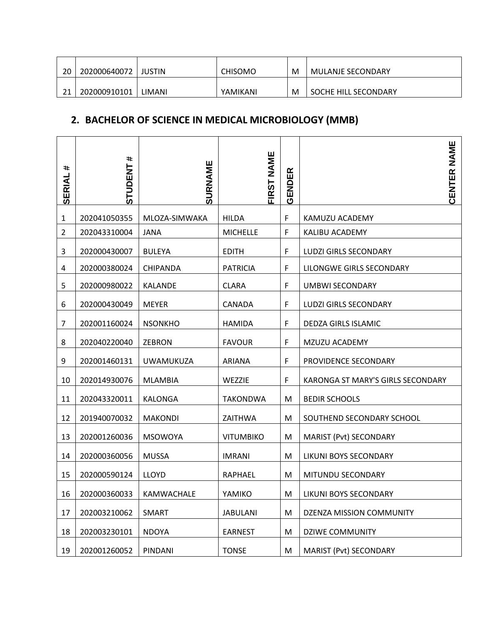| 20 | 202000640072 | <b>JUSTIN</b> | <b>CHISOMO</b> | M | <b>MULANJE SECONDARY</b> |
|----|--------------|---------------|----------------|---|--------------------------|
| 21 | 202000910101 | LIMANI        | YAMIKANI       | M | SOCHE HILL SECONDARY     |

#### **2. BACHELOR OF SCIENCE IN MEDICAL MICROBIOLOGY (MMB)**

| #<br>SERIAL    | #<br><b>STUDENT</b> | <b>SURNAME</b>   | <b>NAME</b><br><b>FIRST</b> | ER<br><b>GENDE</b> | <b>CENTER NAME</b>                |
|----------------|---------------------|------------------|-----------------------------|--------------------|-----------------------------------|
| 1              | 202041050355        | MLOZA-SIMWAKA    | <b>HILDA</b>                | F                  | KAMUZU ACADEMY                    |
| $\overline{2}$ | 202043310004        | <b>JANA</b>      | <b>MICHELLE</b>             | F                  | KALIBU ACADEMY                    |
| 3              | 202000430007        | <b>BULEYA</b>    | <b>EDITH</b>                | F                  | LUDZI GIRLS SECONDARY             |
| 4              | 202000380024        | CHIPANDA         | <b>PATRICIA</b>             | F                  | LILONGWE GIRLS SECONDARY          |
| 5              | 202000980022        | <b>KALANDE</b>   | <b>CLARA</b>                | F                  | UMBWI SECONDARY                   |
| 6              | 202000430049        | <b>MEYER</b>     | CANADA                      | F                  | LUDZI GIRLS SECONDARY             |
| 7              | 202001160024        | <b>NSONKHO</b>   | <b>HAMIDA</b>               | F                  | <b>DEDZA GIRLS ISLAMIC</b>        |
| 8              | 202040220040        | <b>ZEBRON</b>    | <b>FAVOUR</b>               | F                  | MZUZU ACADEMY                     |
| 9              | 202001460131        | <b>UWAMUKUZA</b> | <b>ARIANA</b>               | F                  | PROVIDENCE SECONDARY              |
| 10             | 202014930076        | <b>MLAMBIA</b>   | WEZZIE                      | F                  | KARONGA ST MARY'S GIRLS SECONDARY |
| 11             | 202043320011        | <b>KALONGA</b>   | TAKONDWA                    | M                  | <b>BEDIR SCHOOLS</b>              |
| 12             | 201940070032        | <b>MAKONDI</b>   | ZAITHWA                     | M                  | SOUTHEND SECONDARY SCHOOL         |
| 13             | 202001260036        | <b>MSOWOYA</b>   | <b>VITUMBIKO</b>            | M                  | MARIST (Pvt) SECONDARY            |
| 14             | 202000360056        | <b>MUSSA</b>     | <b>IMRANI</b>               | M                  | LIKUNI BOYS SECONDARY             |
| 15             | 202000590124        | <b>LLOYD</b>     | <b>RAPHAEL</b>              | M                  | MITUNDU SECONDARY                 |
| 16             | 202000360033        | KAMWACHALE       | YAMIKO                      | M                  | LIKUNI BOYS SECONDARY             |
| 17             | 202003210062        | <b>SMART</b>     | <b>JABULANI</b>             | M                  | DZENZA MISSION COMMUNITY          |
| 18             | 202003230101        | <b>NDOYA</b>     | <b>EARNEST</b>              | M                  | <b>DZIWE COMMUNITY</b>            |
| 19             | 202001260052        | PINDANI          | <b>TONSE</b>                | M                  | MARIST (Pvt) SECONDARY            |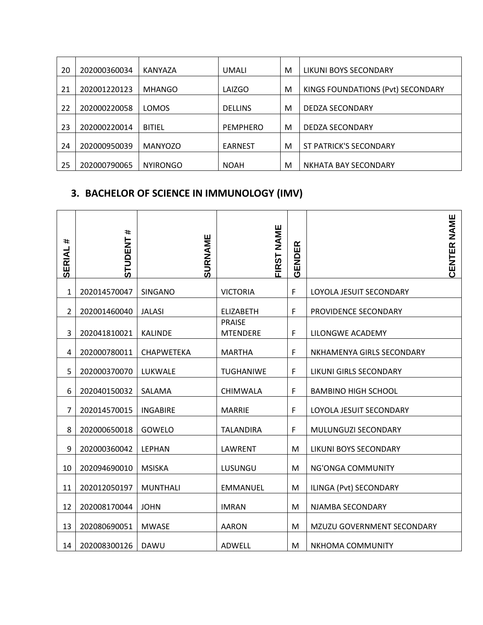| 20 | 202000360034 | KANYAZA         | UMALI           | M | LIKUNI BOYS SECONDARY             |
|----|--------------|-----------------|-----------------|---|-----------------------------------|
| 21 | 202001220123 | <b>MHANGO</b>   | LAIZGO          | M | KINGS FOUNDATIONS (Pvt) SECONDARY |
| 22 | 202000220058 | LOMOS           | <b>DELLINS</b>  | M | DEDZA SECONDARY                   |
| 23 | 202000220014 | <b>BITIEL</b>   | <b>PEMPHERO</b> | M | DEDZA SECONDARY                   |
| 24 | 202000950039 | <b>MANYOZO</b>  | <b>EARNEST</b>  | M | ST PATRICK'S SECONDARY            |
| 25 | 202000790065 | <b>NYIRONGO</b> | <b>NOAH</b>     | M | NKHATA BAY SECONDARY              |

#### **3. BACHELOR OF SCIENCE IN IMMUNOLOGY (IMV)**

| #<br><b>SERIAL</b> | #<br><b>STUDENT</b> | SURNAME           | FIRST NAME                       | GENDER | NAME<br>CENTER             |
|--------------------|---------------------|-------------------|----------------------------------|--------|----------------------------|
| 1                  | 202014570047        | <b>SINGANO</b>    | <b>VICTORIA</b>                  | F      | LOYOLA JESUIT SECONDARY    |
| $\overline{2}$     | 202001460040        | <b>JALASI</b>     | <b>ELIZABETH</b>                 | F      | PROVIDENCE SECONDARY       |
| 3                  | 202041810021        | KALINDE           | <b>PRAISE</b><br><b>MTENDERE</b> | F      | LILONGWE ACADEMY           |
| 4                  | 202000780011        | <b>CHAPWETEKA</b> | <b>MARTHA</b>                    | F      | NKHAMENYA GIRLS SECONDARY  |
| 5                  | 202000370070        | LUKWALE           | <b>TUGHANIWE</b>                 | F      | LIKUNI GIRLS SECONDARY     |
| 6                  | 202040150032        | SALAMA            | <b>CHIMWALA</b>                  | F      | <b>BAMBINO HIGH SCHOOL</b> |
| $\overline{7}$     | 202014570015        | <b>INGABIRE</b>   | <b>MARRIE</b>                    | F      | LOYOLA JESUIT SECONDARY    |
| 8                  | 202000650018        | GOWELO            | <b>TALANDIRA</b>                 | F      | MULUNGUZI SECONDARY        |
| 9                  | 202000360042        | <b>LEPHAN</b>     | LAWRENT                          | M      | LIKUNI BOYS SECONDARY      |
| 10                 | 202094690010        | <b>MSISKA</b>     | LUSUNGU                          | M      | NG'ONGA COMMUNITY          |
| 11                 | 202012050197        | <b>MUNTHALI</b>   | <b>EMMANUEL</b>                  | M      | ILINGA (Pvt) SECONDARY     |
| 12                 | 202008170044        | <b>JOHN</b>       | <b>IMRAN</b>                     | M      | NJAMBA SECONDARY           |
| 13                 | 202080690051        | <b>MWASE</b>      | <b>AARON</b>                     | M      | MZUZU GOVERNMENT SECONDARY |
| 14                 | 202008300126        | <b>DAWU</b>       | <b>ADWELL</b>                    | M      | NKHOMA COMMUNITY           |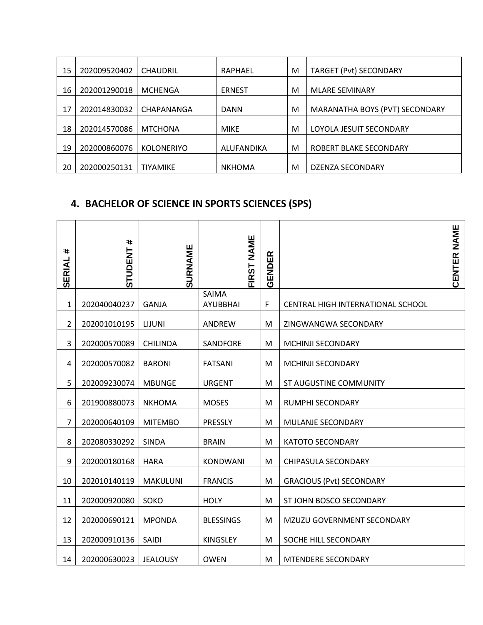| 15 | 202009520402 | <b>CHAUDRIL</b>   | RAPHAEL       | M | <b>TARGET (Pvt) SECONDARY</b>  |
|----|--------------|-------------------|---------------|---|--------------------------------|
| 16 | 202001290018 | <b>MCHENGA</b>    | <b>ERNEST</b> | M | <b>MLARE SEMINARY</b>          |
| 17 | 202014830032 | CHAPANANGA        | <b>DANN</b>   | M | MARANATHA BOYS (PVT) SECONDARY |
| 18 | 202014570086 | <b>MTCHONA</b>    | <b>MIKE</b>   | M | LOYOLA JESUIT SECONDARY        |
| 19 | 202000860076 | <b>KOLONERIYO</b> | ALUFANDIKA    | M | ROBERT BLAKE SECONDARY         |
| 20 | 202000250131 | <b>TIYAMIKE</b>   | <b>NKHOMA</b> | M | DZENZA SECONDARY               |

#### **4. BACHELOR OF SCIENCE IN SPORTS SCIENCES (SPS)**

| #<br><b>SERIAL</b> | #<br><b>STUDENT</b> | <b>SURNAME</b>  | NAME<br><b>FIRST</b>     | GENDER |                                   | CENTER NAME |
|--------------------|---------------------|-----------------|--------------------------|--------|-----------------------------------|-------------|
| 1                  | 202040040237        | <b>GANJA</b>    | SAIMA<br><b>AYUBBHAI</b> | F      | CENTRAL HIGH INTERNATIONAL SCHOOL |             |
| $\overline{2}$     | 202001010195        | LIJUNI          | ANDREW                   | M      | ZINGWANGWA SECONDARY              |             |
| 3                  | 202000570089        | <b>CHILINDA</b> | SANDFORE                 | M      | MCHINJI SECONDARY                 |             |
| 4                  | 202000570082        | <b>BARONI</b>   | <b>FATSANI</b>           | M      | MCHINJI SECONDARY                 |             |
| 5                  | 202009230074        | <b>MBUNGE</b>   | <b>URGENT</b>            | M      | ST AUGUSTINE COMMUNITY            |             |
| 6                  | 201900880073        | <b>NKHOMA</b>   | <b>MOSES</b>             | M      | RUMPHI SECONDARY                  |             |
| $\overline{7}$     | 202000640109        | <b>MITEMBO</b>  | PRESSLY                  | M      | MULANJE SECONDARY                 |             |
| 8                  | 202080330292        | <b>SINDA</b>    | <b>BRAIN</b>             | M      | <b>KATOTO SECONDARY</b>           |             |
| 9                  | 202000180168        | <b>HARA</b>     | KONDWANI                 | M      | CHIPASULA SECONDARY               |             |
| 10                 | 202010140119        | <b>MAKULUNI</b> | <b>FRANCIS</b>           | M      | <b>GRACIOUS (Pvt) SECONDARY</b>   |             |
| 11                 | 202000920080        | SOKO            | <b>HOLY</b>              | M      | ST JOHN BOSCO SECONDARY           |             |
| 12                 | 202000690121        | <b>MPONDA</b>   | <b>BLESSINGS</b>         | M      | MZUZU GOVERNMENT SECONDARY        |             |
| 13                 | 202000910136        | <b>SAIDI</b>    | <b>KINGSLEY</b>          | M      | SOCHE HILL SECONDARY              |             |
| 14                 | 202000630023        | <b>JEALOUSY</b> | <b>OWEN</b>              | M      | MTENDERE SECONDARY                |             |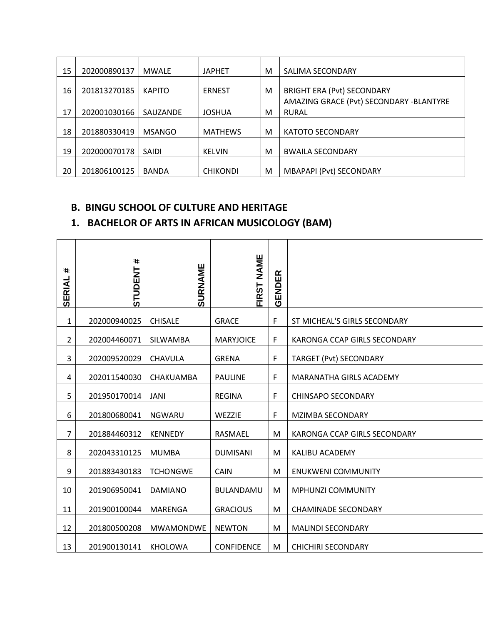| 15 | 202000890137 | <b>MWALE</b>  | <b>JAPHET</b>   | M | SALIMA SECONDARY                        |
|----|--------------|---------------|-----------------|---|-----------------------------------------|
| 16 | 201813270185 | <b>KAPITO</b> | <b>ERNEST</b>   | M | <b>BRIGHT ERA (Pvt) SECONDARY</b>       |
|    |              |               |                 |   | AMAZING GRACE (Pvt) SECONDARY -BLANTYRE |
| 17 | 202001030166 | SAUZANDE      | <b>JOSHUA</b>   | м | <b>RURAL</b>                            |
| 18 | 201880330419 | <b>MSANGO</b> | <b>MATHEWS</b>  | M | <b>KATOTO SECONDARY</b>                 |
| 19 | 202000070178 | <b>SAIDI</b>  | <b>KELVIN</b>   | м | <b>BWAILA SECONDARY</b>                 |
| 20 | 201806100125 | <b>BANDA</b>  | <b>CHIKONDI</b> | м | <b>MBAPAPI (Pvt) SECONDARY</b>          |

#### **B. BINGU SCHOOL OF CULTURE AND HERITAGE**

#### **1. BACHELOR OF ARTS IN AFRICAN MUSICOLOGY (BAM)**

| #<br><b>SERIAL</b> | #<br><b>STUDENT</b> | <b>SURNAME</b>   | <b>NAME</b><br><b>FIRST</b> | GENDER      |                              |
|--------------------|---------------------|------------------|-----------------------------|-------------|------------------------------|
| 1                  | 202000940025        | <b>CHISALE</b>   | <b>GRACE</b>                | F           | ST MICHEAL'S GIRLS SECONDARY |
| 2                  | 202004460071        | <b>SILWAMBA</b>  | <b>MARYJOICE</b>            | F           | KARONGA CCAP GIRLS SECONDARY |
| 3                  | 202009520029        | CHAVULA          | <b>GRENA</b>                | $\mathsf F$ | TARGET (Pvt) SECONDARY       |
| 4                  | 202011540030        | CHAKUAMBA        | <b>PAULINE</b>              | $\mathsf F$ | MARANATHA GIRLS ACADEMY      |
| 5                  | 201950170014        | JANI             | <b>REGINA</b>               | F           | <b>CHINSAPO SECONDARY</b>    |
| 6                  | 201800680041        | <b>NGWARU</b>    | WEZZIE                      | F           | MZIMBA SECONDARY             |
| $\overline{7}$     | 201884460312        | <b>KENNEDY</b>   | RASMAEL                     | M           | KARONGA CCAP GIRLS SECONDARY |
| 8                  | 202043310125        | <b>MUMBA</b>     | <b>DUMISANI</b>             | M           | KALIBU ACADEMY               |
| 9                  | 201883430183        | <b>TCHONGWE</b>  | <b>CAIN</b>                 | M           | <b>ENUKWENI COMMUNITY</b>    |
| 10                 | 201906950041        | <b>DAMIANO</b>   | <b>BULANDAMU</b>            | M           | <b>MPHUNZI COMMUNITY</b>     |
| 11                 | 201900100044        | <b>MARENGA</b>   | <b>GRACIOUS</b>             | M           | <b>CHAMINADE SECONDARY</b>   |
| 12                 | 201800500208        | <b>MWAMONDWE</b> | <b>NEWTON</b>               | M           | <b>MALINDI SECONDARY</b>     |
| 13                 | 201900130141        | <b>KHOLOWA</b>   | <b>CONFIDENCE</b>           | M           | <b>CHICHIRI SECONDARY</b>    |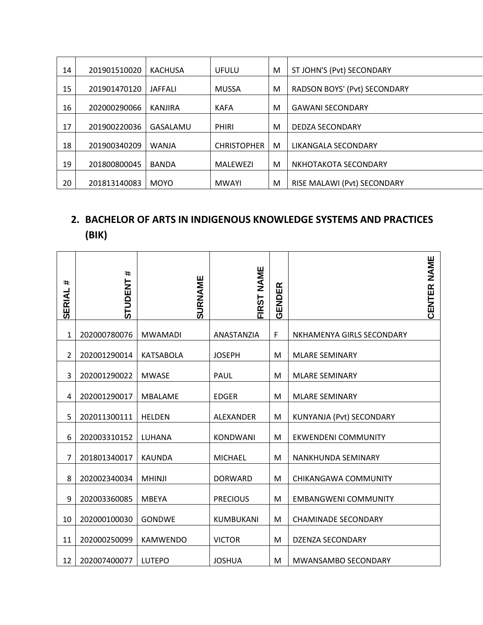| 14 | 201901510020 | <b>KACHUSA</b> | <b>UFULU</b>       | M | ST JOHN'S (Pvt) SECONDARY           |
|----|--------------|----------------|--------------------|---|-------------------------------------|
| 15 | 201901470120 | <b>JAFFALI</b> | <b>MUSSA</b>       | M | <b>RADSON BOYS' (Pvt) SECONDARY</b> |
| 16 | 202000290066 | KANJIRA        | <b>KAFA</b>        | M | <b>GAWANI SECONDARY</b>             |
| 17 | 201900220036 | GASALAMU       | <b>PHIRI</b>       | M | <b>DEDZA SECONDARY</b>              |
| 18 | 201900340209 | <b>WANJA</b>   | <b>CHRISTOPHER</b> | M | LIKANGALA SECONDARY                 |
| 19 | 201800800045 | <b>BANDA</b>   | MALEWEZI           | M | NKHOTAKOTA SECONDARY                |
| 20 | 201813140083 | <b>MOYO</b>    | <b>MWAYI</b>       | M | RISE MALAWI (Pvt) SECONDARY         |

#### **2. BACHELOR OF ARTS IN INDIGENOUS KNOWLEDGE SYSTEMS AND PRACTICES (BIK)**

| #<br>SERIAL    | #<br><b>STUDENT</b> | SURNAME          | <b>NAME</b><br><b>FIRST</b> | 띥<br><b>GENDE</b> | NAME<br>CENTER              |
|----------------|---------------------|------------------|-----------------------------|-------------------|-----------------------------|
| $\mathbf{1}$   | 202000780076        | <b>MWAMADI</b>   | ANASTANZIA                  | F                 | NKHAMENYA GIRLS SECONDARY   |
| $\overline{2}$ | 202001290014        | <b>KATSABOLA</b> | <b>JOSEPH</b>               | M                 | <b>MLARE SEMINARY</b>       |
| 3              | 202001290022        | <b>MWASE</b>     | <b>PAUL</b>                 | М                 | <b>MLARE SEMINARY</b>       |
| 4              | 202001290017        | <b>MBALAME</b>   | <b>EDGER</b>                | M                 | <b>MLARE SEMINARY</b>       |
| 5              | 202011300111        | <b>HELDEN</b>    | ALEXANDER                   | M                 | KUNYANJA (Pvt) SECONDARY    |
| 6              | 202003310152        | LUHANA           | KONDWANI                    | M                 | <b>EKWENDENI COMMUNITY</b>  |
| 7              | 201801340017        | <b>KAUNDA</b>    | <b>MICHAEL</b>              | M                 | NANKHUNDA SEMINARY          |
| 8              | 202002340034        | <b>MHINJI</b>    | <b>DORWARD</b>              | M                 | <b>CHIKANGAWA COMMUNITY</b> |
| 9              | 202003360085        | <b>MBEYA</b>     | <b>PRECIOUS</b>             | M                 | <b>EMBANGWENI COMMUNITY</b> |
| 10             | 202000100030        | <b>GONDWE</b>    | KUMBUKANI                   | M                 | <b>CHAMINADE SECONDARY</b>  |
| 11             | 202000250099        | <b>KAMWENDO</b>  | <b>VICTOR</b>               | M                 | DZENZA SECONDARY            |
| 12             | 202007400077        | <b>LUTEPO</b>    | <b>JOSHUA</b>               | М                 | MWANSAMBO SECONDARY         |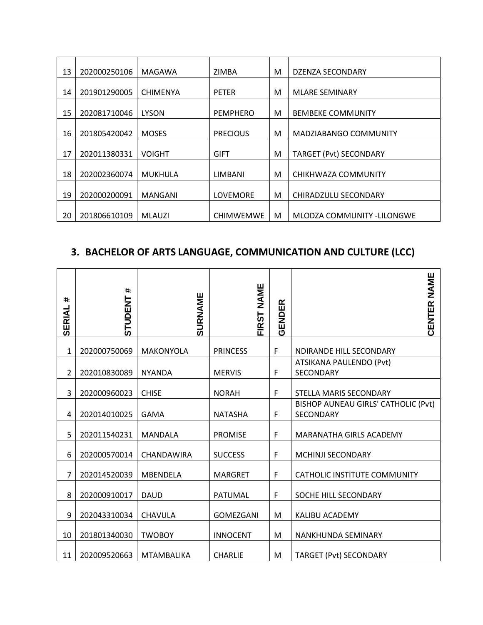| 13 | 202000250106 | MAGAWA          | ZIMBA            | M | <b>DZENZA SECONDARY</b>       |
|----|--------------|-----------------|------------------|---|-------------------------------|
| 14 | 201901290005 | <b>CHIMENYA</b> | <b>PETER</b>     | M | <b>MLARE SEMINARY</b>         |
| 15 | 202081710046 | <b>LYSON</b>    | <b>PEMPHERO</b>  | м | <b>BEMBEKE COMMUNITY</b>      |
| 16 | 201805420042 | <b>MOSES</b>    | <b>PRECIOUS</b>  | м | <b>MADZIABANGO COMMUNITY</b>  |
| 17 | 202011380331 | <b>VOIGHT</b>   | <b>GIFT</b>      | м | <b>TARGET (Pvt) SECONDARY</b> |
| 18 | 202002360074 | MUKHULA         | LIMBANI          | м | CHIKHWAZA COMMUNITY           |
| 19 | 202000200091 | <b>MANGANI</b>  | <b>LOVEMORE</b>  | м | CHIRADZULU SECONDARY          |
| 20 | 201806610109 | <b>MLAUZI</b>   | <b>CHIMWEMWE</b> | М | MLODZA COMMUNITY -LILONGWE    |

## **3. BACHELOR OF ARTS LANGUAGE, COMMUNICATION AND CULTURE (LCC)**

| #<br>SERIAL    | #<br><b>STUDENT</b> | SURNAME           | <b>NAME</b><br><b>FIRST</b> | GENDER | <b>NAME</b><br>CENTER                                   |
|----------------|---------------------|-------------------|-----------------------------|--------|---------------------------------------------------------|
| 1              | 202000750069        | <b>MAKONYOLA</b>  | <b>PRINCESS</b>             | F      | NDIRANDE HILL SECONDARY                                 |
| $\overline{2}$ | 202010830089        | <b>NYANDA</b>     | <b>MERVIS</b>               | F      | ATSIKANA PAULENDO (Pvt)<br><b>SECONDARY</b>             |
| 3              | 202000960023        | <b>CHISE</b>      | <b>NORAH</b>                | F      | STELLA MARIS SECONDARY                                  |
| 4              | 202014010025        | <b>GAMA</b>       | <b>NATASHA</b>              | F      | BISHOP AUNEAU GIRLS' CATHOLIC (Pvt)<br><b>SECONDARY</b> |
| 5              | 202011540231        | <b>MANDALA</b>    | <b>PROMISE</b>              | F      | MARANATHA GIRLS ACADEMY                                 |
| 6              | 202000570014        | CHANDAWIRA        | <b>SUCCESS</b>              | F      | MCHINJI SECONDARY                                       |
| 7              | 202014520039        | <b>MBENDELA</b>   | <b>MARGRET</b>              | F      | CATHOLIC INSTITUTE COMMUNITY                            |
| 8              | 202000910017        | <b>DAUD</b>       | PATUMAL                     | F      | SOCHE HILL SECONDARY                                    |
| 9              | 202043310034        | CHAVULA           | <b>GOMEZGANI</b>            | M      | KALIBU ACADEMY                                          |
| 10             | 201801340030        | <b>TWOBOY</b>     | <b>INNOCENT</b>             | M      | NANKHUNDA SEMINARY                                      |
| 11             | 202009520663        | <b>MTAMBALIKA</b> | <b>CHARLIE</b>              | M      | <b>TARGET (Pvt) SECONDARY</b>                           |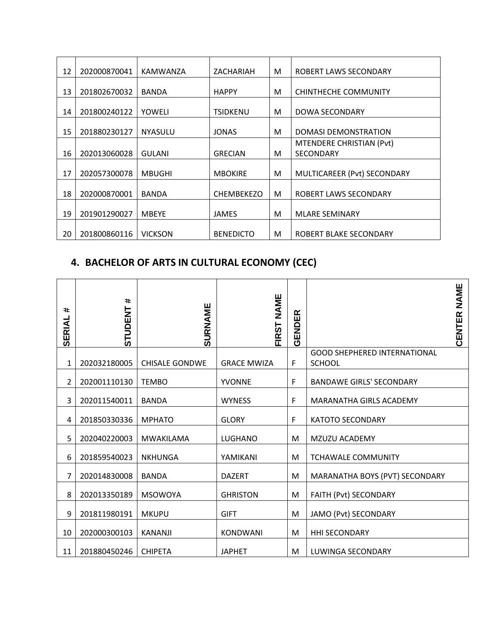| 12 | 202000870041 | KAMWANZA       | ZACHARIAH         | М | ROBERT LAWS SECONDARY       |
|----|--------------|----------------|-------------------|---|-----------------------------|
|    |              |                |                   |   |                             |
| 13 | 201802670032 | <b>BANDA</b>   | <b>HAPPY</b>      | М | CHINTHECHE COMMUNITY        |
|    |              |                |                   |   |                             |
| 14 | 201800240122 | YOWELI         | <b>TSIDKENU</b>   | М | DOWA SECONDARY              |
|    |              |                |                   |   |                             |
| 15 | 201880230127 | <b>NYASULU</b> | <b>JONAS</b>      | M | <b>DOMASI DEMONSTRATION</b> |
|    |              |                |                   |   | MTENDERE CHRISTIAN (Pvt)    |
| 16 | 202013060028 | <b>GULANI</b>  | <b>GRECIAN</b>    | м | <b>SECONDARY</b>            |
|    |              |                |                   |   |                             |
| 17 | 202057300078 | <b>MBUGHI</b>  | <b>MBOKIRE</b>    | M | MULTICAREER (Pvt) SECONDARY |
|    |              |                |                   |   |                             |
| 18 | 202000870001 | <b>BANDA</b>   | <b>CHEMBEKEZO</b> | M | ROBERT LAWS SECONDARY       |
|    |              |                |                   |   |                             |
| 19 | 201901290027 | <b>MBEYE</b>   | <b>JAMES</b>      | M | <b>MLARE SEMINARY</b>       |
|    |              |                |                   |   |                             |
| 20 | 201800860116 | <b>VICKSON</b> | <b>BENEDICTO</b>  | М | ROBERT BLAKE SECONDARY      |

## **4. BACHELOR OF ARTS IN CULTURAL ECONOMY (CEC)**

| #<br><b>SERIAL</b> | $\ast$<br><b>STUDENT</b> | SURNAME               | NAME<br><b>FIRST</b> | GENDER |                                                      | <b>NAME</b><br>CENTER |
|--------------------|--------------------------|-----------------------|----------------------|--------|------------------------------------------------------|-----------------------|
| 1                  | 202032180005             | <b>CHISALE GONDWE</b> | <b>GRACE MWIZA</b>   | F      | <b>GOOD SHEPHERED INTERNATIONAL</b><br><b>SCHOOL</b> |                       |
| 2                  | 202001110130             | <b>TEMBO</b>          | <b>YVONNE</b>        | F      | <b>BANDAWE GIRLS' SECONDARY</b>                      |                       |
| 3                  | 202011540011             | <b>BANDA</b>          | <b>WYNESS</b>        | F      | MARANATHA GIRLS ACADEMY                              |                       |
| 4                  | 201850330336             | <b>MPHATO</b>         | <b>GLORY</b>         | F      | <b>KATOTO SECONDARY</b>                              |                       |
| 5                  | 202040220003             | <b>MWAKILAMA</b>      | <b>LUGHANO</b>       | M      | MZUZU ACADEMY                                        |                       |
| 6                  | 201859540023             | <b>NKHUNGA</b>        | YAMIKANI             | M      | <b>TCHAWALE COMMUNITY</b>                            |                       |
| 7                  | 202014830008             | <b>BANDA</b>          | <b>DAZERT</b>        | M      | MARANATHA BOYS (PVT) SECONDARY                       |                       |
| 8                  | 202013350189             | <b>MSOWOYA</b>        | <b>GHRISTON</b>      | M      | FAITH (Pvt) SECONDARY                                |                       |
| 9                  | 201811980191             | <b>MKUPU</b>          | <b>GIFT</b>          | M      | JAMO (Pvt) SECONDARY                                 |                       |
| 10                 | 202000300103             | <b>KANANJI</b>        | <b>KONDWANI</b>      | M      | <b>HHI SECONDARY</b>                                 |                       |
| 11                 | 201880450246             | <b>CHIPETA</b>        | <b>JAPHET</b>        | M      | LUWINGA SECONDARY                                    |                       |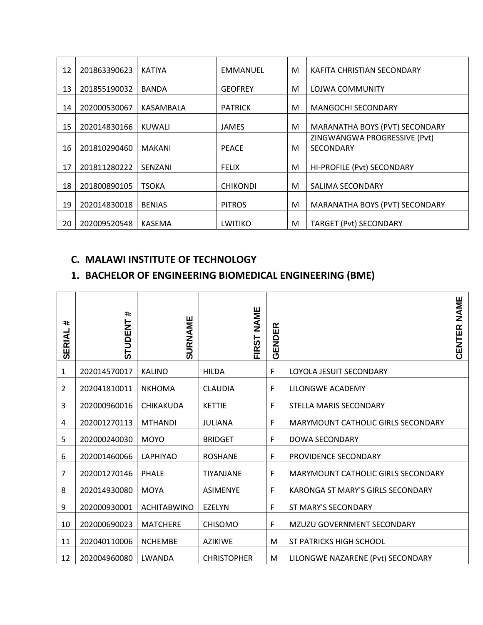| 12 | 201863390623 | <b>KATIYA</b> | <b>EMMANUEL</b> | M | KAFITA CHRISTIAN SECONDARY                       |
|----|--------------|---------------|-----------------|---|--------------------------------------------------|
| 13 | 201855190032 | <b>BANDA</b>  | <b>GEOFREY</b>  | м | LOJWA COMMUNITY                                  |
| 14 | 202000530067 | KASAMBALA     | <b>PATRICK</b>  | М | <b>MANGOCHI SECONDARY</b>                        |
| 15 | 202014830166 | KUWALI        | <b>JAMES</b>    | M | MARANATHA BOYS (PVT) SECONDARY                   |
| 16 | 201810290460 | <b>MAKANI</b> | <b>PEACE</b>    | M | ZINGWANGWA PROGRESSIVE (Pvt)<br><b>SECONDARY</b> |
| 17 | 201811280222 | SENZANI       | <b>FELIX</b>    | M | HI-PROFILE (Pvt) SECONDARY                       |
| 18 | 201800890105 | <b>TSOKA</b>  | <b>CHIKONDI</b> | М | SALIMA SECONDARY                                 |
| 19 | 202014830018 | <b>BENIAS</b> | <b>PITROS</b>   | M | MARANATHA BOYS (PVT) SECONDARY                   |
| 20 | 202009520548 | <b>KASEMA</b> | <b>LWITIKO</b>  | М | <b>TARGET (Pvt) SECONDARY</b>                    |

#### **C. MALAWI INSTITUTE OF TECHNOLOGY**

#### **1. BACHELOR OF ENGINEERING BIOMEDICAL ENGINEERING (BME)**

| #<br>SERIAL    | #<br><b>STUDENT</b> | SURNAME            | NAME<br><b>FIRST</b> | 띥<br>ENDI<br>ō |                                           | <b>NAME</b><br>CENTER |
|----------------|---------------------|--------------------|----------------------|----------------|-------------------------------------------|-----------------------|
| 1              | 202014570017        | <b>KALINO</b>      | <b>HILDA</b>         | F              | LOYOLA JESUIT SECONDARY                   |                       |
| $\overline{2}$ | 202041810011        | <b>NKHOMA</b>      | <b>CLAUDIA</b>       | F              | LILONGWE ACADEMY                          |                       |
| 3              | 202000960016        | <b>CHIKAKUDA</b>   | <b>KETTIE</b>        | F              | STELLA MARIS SECONDARY                    |                       |
| 4              | 202001270113        | <b>MTHANDI</b>     | <b>JULIANA</b>       | F              | MARYMOUNT CATHOLIC GIRLS SECONDARY        |                       |
| 5              | 202000240030        | <b>MOYO</b>        | <b>BRIDGET</b>       | F              | <b>DOWA SECONDARY</b>                     |                       |
| 6              | 202001460066        | <b>LAPHIYAO</b>    | <b>ROSHANE</b>       | F              | PROVIDENCE SECONDARY                      |                       |
| 7              | 202001270146        | <b>PHALE</b>       | <b>TIYANJANE</b>     | F              | <b>MARYMOUNT CATHOLIC GIRLS SECONDARY</b> |                       |
| 8              | 202014930080        | <b>MOYA</b>        | <b>ASIMENYE</b>      | F              | KARONGA ST MARY'S GIRLS SECONDARY         |                       |
| 9              | 202000930001        | <b>ACHITABWINO</b> | <b>EZELYN</b>        | F              | ST MARY'S SECONDARY                       |                       |
| 10             | 202000690023        | <b>MATCHERE</b>    | <b>CHISOMO</b>       | F              | MZUZU GOVERNMENT SECONDARY                |                       |
| 11             | 202040110006        | <b>NCHEMBE</b>     | <b>AZIKIWE</b>       | M              | <b>ST PATRICKS HIGH SCHOOL</b>            |                       |
| 12             | 202004960080        | LWANDA             | <b>CHRISTOPHER</b>   | M              | LILONGWE NAZARENE (Pvt) SECONDARY         |                       |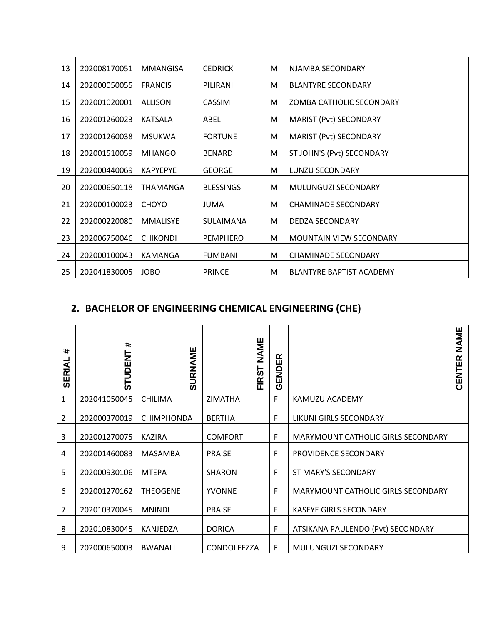| 13 | 202008170051 | MMANGISA        | <b>CEDRICK</b>   | M | NJAMBA SECONDARY                |
|----|--------------|-----------------|------------------|---|---------------------------------|
| 14 | 202000050055 | <b>FRANCIS</b>  | PILIRANI         | М | <b>BLANTYRE SECONDARY</b>       |
| 15 | 202001020001 | <b>ALLISON</b>  | <b>CASSIM</b>    | M | ZOMBA CATHOLIC SECONDARY        |
| 16 | 202001260023 | KATSALA         | ABEL             | M | MARIST (Pvt) SECONDARY          |
| 17 | 202001260038 | <b>MSUKWA</b>   | <b>FORTUNE</b>   | M | <b>MARIST (Pvt) SECONDARY</b>   |
| 18 | 202001510059 | <b>MHANGO</b>   | <b>BENARD</b>    | М | ST JOHN'S (Pvt) SECONDARY       |
| 19 | 202000440069 | <b>KAPYEPYE</b> | <b>GEORGE</b>    | М | <b>LUNZU SECONDARY</b>          |
| 20 | 202000650118 | THAMANGA        | <b>BLESSINGS</b> | м | MULUNGUZI SECONDARY             |
| 21 | 202000100023 | <b>CHOYO</b>    | JUMA             | м | <b>CHAMINADE SECONDARY</b>      |
| 22 | 202000220080 | <b>MMALISYE</b> | SULAIMANA        | М | <b>DEDZA SECONDARY</b>          |
| 23 | 202006750046 | <b>CHIKONDI</b> | <b>PEMPHERO</b>  | M | <b>MOUNTAIN VIEW SECONDARY</b>  |
| 24 | 202000100043 | KAMANGA         | <b>FUMBANI</b>   | м | <b>CHAMINADE SECONDARY</b>      |
| 25 | 202041830005 | <b>JOBO</b>     | <b>PRINCE</b>    | м | <b>BLANTYRE BAPTIST ACADEMY</b> |

#### **2. BACHELOR OF ENGINEERING CHEMICAL ENGINEERING (CHE)**

| $\ddot{\phantom{1}}$<br><b>SERIAL</b> | $\ast$<br><b>STUDENT</b> | SURNAME           | NAME<br><b>FIRST</b> | 띥<br><b>GENDI</b> | NAME<br>CENTER                     |
|---------------------------------------|--------------------------|-------------------|----------------------|-------------------|------------------------------------|
| 1                                     | 202041050045             | <b>CHILIMA</b>    | <b>ZIMATHA</b>       | F                 | KAMUZU ACADEMY                     |
| $\overline{2}$                        | 202000370019             | <b>CHIMPHONDA</b> | <b>BERTHA</b>        | F                 | LIKUNI GIRLS SECONDARY             |
| 3                                     | 202001270075             | <b>KAZIRA</b>     | <b>COMFORT</b>       | F                 | MARYMOUNT CATHOLIC GIRLS SECONDARY |
| 4                                     | 202001460083             | <b>MASAMBA</b>    | <b>PRAISE</b>        | F                 | PROVIDENCE SECONDARY               |
| 5                                     | 202000930106             | <b>MTEPA</b>      | <b>SHARON</b>        | F                 | ST MARY'S SECONDARY                |
| 6                                     | 202001270162             | <b>THEOGENE</b>   | <b>YVONNE</b>        | F                 | MARYMOUNT CATHOLIC GIRLS SECONDARY |
| 7                                     | 202010370045             | <b>MNINDI</b>     | <b>PRAISE</b>        | F                 | <b>KASEYE GIRLS SECONDARY</b>      |
| 8                                     | 202010830045             | KANJEDZA          | <b>DORICA</b>        | F                 | ATSIKANA PAULENDO (Pvt) SECONDARY  |
| 9                                     | 202000650003             | <b>BWANALI</b>    | CONDOLEEZZA          | F                 | MULUNGUZI SECONDARY                |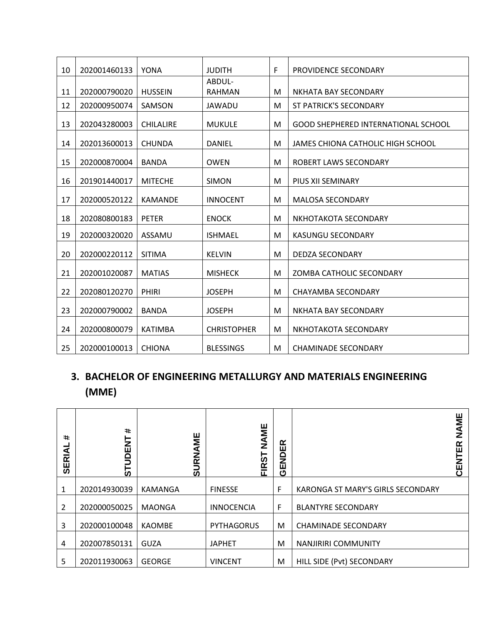| 10 | 202001460133 | <b>YONA</b>      | <b>JUDITH</b>           | F. | PROVIDENCE SECONDARY                       |
|----|--------------|------------------|-------------------------|----|--------------------------------------------|
| 11 | 202000790020 | <b>HUSSEIN</b>   | ABDUL-<br><b>RAHMAN</b> | M  | NKHATA BAY SECONDARY                       |
| 12 | 202000950074 | SAMSON           | <b>JAWADU</b>           | М  | <b>ST PATRICK'S SECONDARY</b>              |
| 13 | 202043280003 | <b>CHILALIRE</b> | <b>MUKULE</b>           | M  | <b>GOOD SHEPHERED INTERNATIONAL SCHOOL</b> |
| 14 | 202013600013 | <b>CHUNDA</b>    | DANIEL                  | M  | <b>JAMES CHIONA CATHOLIC HIGH SCHOOL</b>   |
| 15 | 202000870004 | <b>BANDA</b>     | <b>OWEN</b>             | M  | ROBERT LAWS SECONDARY                      |
| 16 | 201901440017 | <b>MITECHE</b>   | <b>SIMON</b>            | М  | PIUS XII SEMINARY                          |
| 17 | 202000520122 | <b>KAMANDE</b>   | <b>INNOCENT</b>         | M  | <b>MALOSA SECONDARY</b>                    |
| 18 | 202080800183 | <b>PETER</b>     | <b>ENOCK</b>            | M  | NKHOTAKOTA SECONDARY                       |
| 19 | 202000320020 | ASSAMU           | <b>ISHMAEL</b>          | M  | <b>KASUNGU SECONDARY</b>                   |
| 20 | 202000220112 | <b>SITIMA</b>    | <b>KELVIN</b>           | M  | <b>DEDZA SECONDARY</b>                     |
| 21 | 202001020087 | <b>MATIAS</b>    | <b>MISHECK</b>          | M  | ZOMBA CATHOLIC SECONDARY                   |
| 22 | 202080120270 | <b>PHIRI</b>     | <b>JOSEPH</b>           | M  | <b>CHAYAMBA SECONDARY</b>                  |
| 23 | 202000790002 | <b>BANDA</b>     | <b>JOSEPH</b>           | M  | NKHATA BAY SECONDARY                       |
| 24 | 202000800079 | <b>KATIMBA</b>   | <b>CHRISTOPHER</b>      | M  | NKHOTAKOTA SECONDARY                       |
| 25 | 202000100013 | <b>CHIONA</b>    | <b>BLESSINGS</b>        | М  | <b>CHAMINADE SECONDARY</b>                 |

## **3. BACHELOR OF ENGINEERING METALLURGY AND MATERIALS ENGINEERING (MME)**

| $\ddot{\phantom{1}}$<br><b>SERIAL</b> | $\ast$<br>는<br>띠<br>$\mathsf S$<br>__ | NAME<br>œ<br>ಕ | NAME<br><b>IRST</b> | 岛<br>EN<br>3<br>ပ |                                   | NAME<br>ER<br><b>NEC</b> |
|---------------------------------------|---------------------------------------|----------------|---------------------|-------------------|-----------------------------------|--------------------------|
| 1                                     | 202014930039                          | KAMANGA        | <b>FINESSE</b>      | F                 | KARONGA ST MARY'S GIRLS SECONDARY |                          |
| $\overline{2}$                        | 202000050025                          | <b>MAONGA</b>  | <b>INNOCENCIA</b>   | F                 | <b>BLANTYRE SECONDARY</b>         |                          |
| 3                                     | 202000100048                          | <b>KAOMBE</b>  | <b>PYTHAGORUS</b>   | M                 | <b>CHAMINADE SECONDARY</b>        |                          |
| 4                                     | 202007850131                          | <b>GUZA</b>    | <b>JAPHET</b>       | M                 | <b>NANJIRIRI COMMUNITY</b>        |                          |
| 5                                     | 202011930063                          | <b>GEORGE</b>  | <b>VINCENT</b>      | M                 | HILL SIDE (Pvt) SECONDARY         |                          |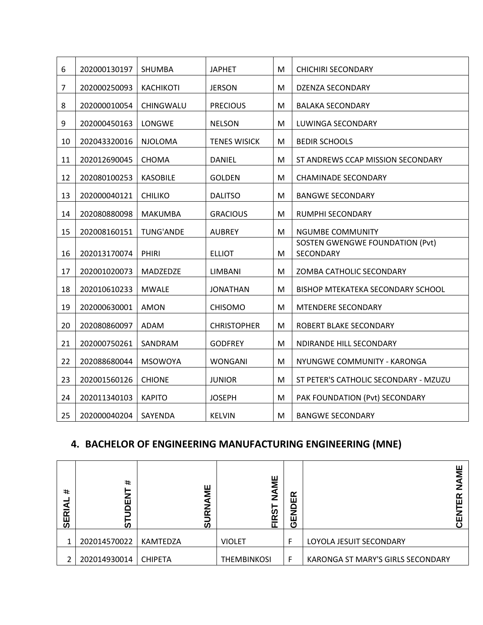| 6<br>202000130197<br><b>SHUMBA</b><br><b>JAPHET</b><br>M<br><b>KACHIKOTI</b><br>$\overline{7}$<br>202000250093<br><b>JERSON</b><br>M<br>8<br>202000010054<br>CHINGWALU<br><b>PRECIOUS</b><br>M<br>9<br>202000450163<br>LONGWE<br><b>NELSON</b><br>M<br>202043320016<br>10<br><b>NJOLOMA</b><br><b>TENES WISICK</b><br>M | <b>CHICHIRI SECONDARY</b>                    |
|-------------------------------------------------------------------------------------------------------------------------------------------------------------------------------------------------------------------------------------------------------------------------------------------------------------------------|----------------------------------------------|
|                                                                                                                                                                                                                                                                                                                         |                                              |
|                                                                                                                                                                                                                                                                                                                         | <b>DZENZA SECONDARY</b>                      |
|                                                                                                                                                                                                                                                                                                                         | <b>BALAKA SECONDARY</b>                      |
|                                                                                                                                                                                                                                                                                                                         | LUWINGA SECONDARY                            |
|                                                                                                                                                                                                                                                                                                                         | <b>BEDIR SCHOOLS</b>                         |
| 11<br>202012690045<br>M<br><b>CHOMA</b><br><b>DANIEL</b>                                                                                                                                                                                                                                                                | ST ANDREWS CCAP MISSION SECONDARY            |
| 12<br>M<br>202080100253<br><b>KASOBILE</b><br><b>GOLDEN</b>                                                                                                                                                                                                                                                             | <b>CHAMINADE SECONDARY</b>                   |
| 13<br>202000040121<br><b>CHILIKO</b><br><b>DALITSO</b><br>M                                                                                                                                                                                                                                                             | <b>BANGWE SECONDARY</b>                      |
| 14<br>202080880098<br><b>MAKUMBA</b><br><b>GRACIOUS</b><br>M                                                                                                                                                                                                                                                            | RUMPHI SECONDARY                             |
| 15<br>202008160151<br><b>TUNG'ANDE</b><br><b>AUBREY</b><br>M                                                                                                                                                                                                                                                            | <b>NGUMBE COMMUNITY</b>                      |
| 202013170074<br><b>ELLIOT</b><br>16<br>PHIRI<br>M                                                                                                                                                                                                                                                                       | SOSTEN GWENGWE FOUNDATION (Pvt)<br>SECONDARY |
| 17<br>202001020073<br>MADZEDZE<br><b>LIMBANI</b><br>M                                                                                                                                                                                                                                                                   | ZOMBA CATHOLIC SECONDARY                     |
| 18<br>202010610233<br><b>MWALE</b><br>M<br><b>JONATHAN</b>                                                                                                                                                                                                                                                              | BISHOP MTEKATEKA SECONDARY SCHOOL            |
| 19<br>202000630001<br><b>AMON</b><br><b>CHISOMO</b><br>M                                                                                                                                                                                                                                                                | MTENDERE SECONDARY                           |
| 20<br>202080860097<br>ADAM<br><b>CHRISTOPHER</b><br>M                                                                                                                                                                                                                                                                   | ROBERT BLAKE SECONDARY                       |
| 21<br>202000750261<br>SANDRAM<br><b>GODFREY</b><br>M                                                                                                                                                                                                                                                                    | NDIRANDE HILL SECONDARY                      |
| 22<br>202088680044<br><b>MSOWOYA</b><br><b>WONGANI</b><br>M                                                                                                                                                                                                                                                             | NYUNGWE COMMUNITY - KARONGA                  |
| 23<br>202001560126<br><b>CHIONE</b><br>M<br><b>JUNIOR</b>                                                                                                                                                                                                                                                               | ST PETER'S CATHOLIC SECONDARY - MZUZU        |
| 24<br><b>KAPITO</b><br>M<br>202011340103<br><b>JOSEPH</b>                                                                                                                                                                                                                                                               | PAK FOUNDATION (Pvt) SECONDARY               |
| 25<br>202000040204<br>SAYENDA<br><b>KELVIN</b><br>M                                                                                                                                                                                                                                                                     | <b>BANGWE SECONDARY</b>                      |

#### **4. BACHELOR OF ENGINEERING MANUFACTURING ENGINEERING (MNE)**

| #<br>₹<br>균<br>59 | #<br>Z<br>ш<br>≏<br>ທ | ш<br>⋝<br>m<br>ທ | NAME<br><b>RST</b> | $\alpha$<br>ш<br>▭<br>Z<br>ш<br>ט | ш<br>5<br>≃<br>ш<br>ш             |
|-------------------|-----------------------|------------------|--------------------|-----------------------------------|-----------------------------------|
|                   | 202014570022          | KAMTEDZA         | <b>VIOLET</b>      | F                                 | LOYOLA JESUIT SECONDARY           |
| 2                 | 202014930014          | <b>CHIPETA</b>   | <b>THEMBINKOSI</b> | F                                 | KARONGA ST MARY'S GIRLS SECONDARY |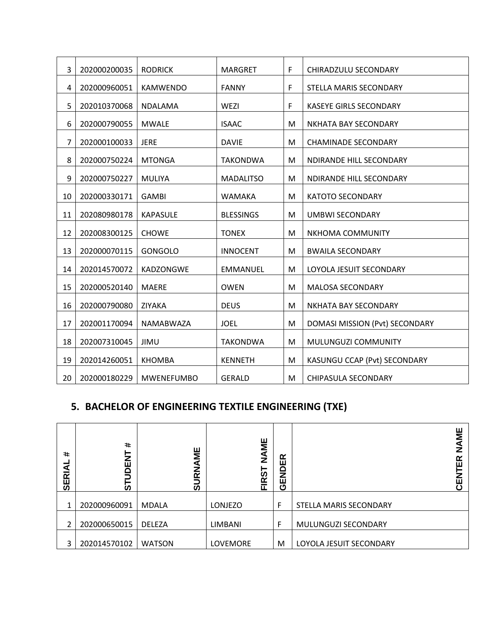| 3  | 202000200035 | <b>RODRICK</b>    | <b>MARGRET</b>   | $\mathsf F$ | CHIRADZULU SECONDARY           |
|----|--------------|-------------------|------------------|-------------|--------------------------------|
| 4  | 202000960051 | <b>KAMWENDO</b>   | <b>FANNY</b>     | $\mathsf F$ | STELLA MARIS SECONDARY         |
| 5  | 202010370068 | <b>NDALAMA</b>    | WEZI             | F           | <b>KASEYE GIRLS SECONDARY</b>  |
| 6  | 202000790055 | <b>MWALE</b>      | <b>ISAAC</b>     | M           | NKHATA BAY SECONDARY           |
| 7  | 202000100033 | <b>JERE</b>       | <b>DAVIE</b>     | M           | <b>CHAMINADE SECONDARY</b>     |
| 8  | 202000750224 | <b>MTONGA</b>     | <b>TAKONDWA</b>  | M           | NDIRANDE HILL SECONDARY        |
| 9  | 202000750227 | <b>MULIYA</b>     | <b>MADALITSO</b> | M           | NDIRANDE HILL SECONDARY        |
| 10 | 202000330171 | <b>GAMBI</b>      | <b>WAMAKA</b>    | M           | <b>KATOTO SECONDARY</b>        |
| 11 | 202080980178 | <b>KAPASULE</b>   | <b>BLESSINGS</b> | M           | <b>UMBWI SECONDARY</b>         |
| 12 | 202008300125 | <b>CHOWE</b>      | <b>TONEX</b>     | M           | NKHOMA COMMUNITY               |
| 13 | 202000070115 | GONGOLO           | <b>INNOCENT</b>  | M           | <b>BWAILA SECONDARY</b>        |
| 14 | 202014570072 | KADZONGWE         | <b>EMMANUEL</b>  | M           | LOYOLA JESUIT SECONDARY        |
| 15 | 202000520140 | <b>MAERE</b>      | <b>OWEN</b>      | M           | MALOSA SECONDARY               |
| 16 | 202000790080 | ZIYAKA            | <b>DEUS</b>      | M           | NKHATA BAY SECONDARY           |
| 17 | 202001170094 | NAMABWAZA         | <b>JOEL</b>      | M           | DOMASI MISSION (Pvt) SECONDARY |
| 18 | 202007310045 | JIMU              | <b>TAKONDWA</b>  | M           | MULUNGUZI COMMUNITY            |
| 19 | 202014260051 | <b>KHOMBA</b>     | <b>KENNETH</b>   | M           | KASUNGU CCAP (Pvt) SECONDARY   |
| 20 | 202000180229 | <b>MWENEFUMBO</b> | <b>GERALD</b>    | M           | CHIPASULA SECONDARY            |

#### **5. BACHELOR OF ENGINEERING TEXTILE ENGINEERING (TXE)**

| $\ddot{}$<br><b>SERIAL</b> | $\ddot{}$<br>⊢<br>.<br>丘<br><u>S</u><br>⊢<br>ັທ | ш<br>Σ<br>∢<br>ے<br>R<br>ທ | NAME<br><b>IRST</b><br>ட | œ<br>ш<br>ē<br>ш<br>ტ |                         | ш<br>Σ<br>₹<br>Z<br>≃<br>ш<br>ш<br>ŕ١ |
|----------------------------|-------------------------------------------------|----------------------------|--------------------------|-----------------------|-------------------------|---------------------------------------|
| 1                          | 202000960091                                    | <b>MDALA</b>               | LONJEZO                  | F                     | STELLA MARIS SECONDARY  |                                       |
| $\overline{c}$             | 202000650015                                    | <b>DELEZA</b>              | LIMBANI                  | F                     | MULUNGUZI SECONDARY     |                                       |
| 3                          | 202014570102                                    | <b>WATSON</b>              | LOVEMORE                 | M                     | LOYOLA JESUIT SECONDARY |                                       |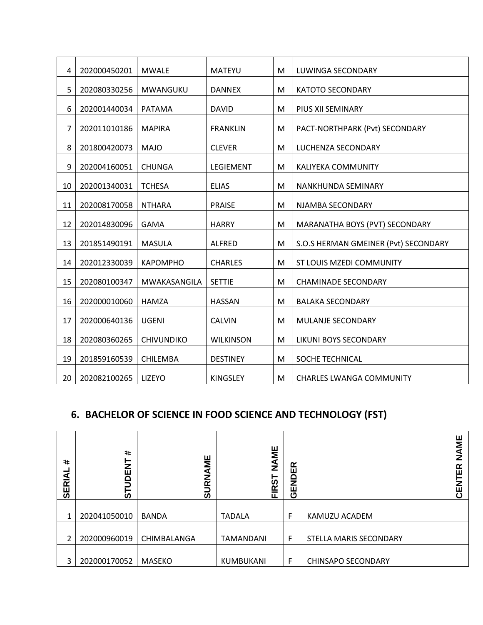| 4              | 202000450201 | <b>MWALE</b>      | <b>MATEYU</b>    | М | LUWINGA SECONDARY                    |
|----------------|--------------|-------------------|------------------|---|--------------------------------------|
| 5              | 202080330256 | MWANGUKU          | <b>DANNEX</b>    | M | <b>KATOTO SECONDARY</b>              |
| 6              | 202001440034 | <b>PATAMA</b>     | <b>DAVID</b>     | M | PIUS XII SEMINARY                    |
| $\overline{7}$ | 202011010186 | <b>MAPIRA</b>     | <b>FRANKLIN</b>  | M | PACT-NORTHPARK (Pvt) SECONDARY       |
| 8              | 201800420073 | <b>MAJO</b>       | <b>CLEVER</b>    | M | LUCHENZA SECONDARY                   |
| 9              | 202004160051 | <b>CHUNGA</b>     | LEGIEMENT        | M | KALIYEKA COMMUNITY                   |
| 10             | 202001340031 | <b>TCHESA</b>     | <b>ELIAS</b>     | M | NANKHUNDA SEMINARY                   |
| 11             | 202008170058 | <b>NTHARA</b>     | <b>PRAISE</b>    | M | NJAMBA SECONDARY                     |
| 12             | 202014830096 | <b>GAMA</b>       | <b>HARRY</b>     | M | MARANATHA BOYS (PVT) SECONDARY       |
| 13             | 201851490191 | <b>MASULA</b>     | <b>ALFRED</b>    | M | S.O.S HERMAN GMEINER (Pvt) SECONDARY |
| 14             | 202012330039 | <b>KAPOMPHO</b>   | <b>CHARLES</b>   | M | ST LOUIS MZEDI COMMUNITY             |
| 15             | 202080100347 | MWAKASANGILA      | <b>SETTIE</b>    | M | <b>CHAMINADE SECONDARY</b>           |
| 16             | 202000010060 | <b>HAMZA</b>      | <b>HASSAN</b>    | M | <b>BALAKA SECONDARY</b>              |
| 17             | 202000640136 | <b>UGENI</b>      | <b>CALVIN</b>    | M | MULANJE SECONDARY                    |
| 18             | 202080360265 | <b>CHIVUNDIKO</b> | <b>WILKINSON</b> | M | LIKUNI BOYS SECONDARY                |
| 19             | 201859160539 | CHILEMBA          | <b>DESTINEY</b>  | M | SOCHE TECHNICAL                      |
| 20             | 202082100265 | LIZEYO            | <b>KINGSLEY</b>  | M | <b>CHARLES LWANGA COMMUNITY</b>      |

#### **6. BACHELOR OF SCIENCE IN FOOD SCIENCE AND TECHNOLOGY (FST)**

| $\ddot{\phantom{1}}$<br><b>SERIAI</b> | $\ast$<br>⊢<br>Ż<br>ш<br>ā<br>່ທ | 当<br>đ<br>z<br>œ<br>ທ | NAME<br><b>IRST</b><br>ш | $\alpha$<br>ш<br>END<br>ტ | ш<br>ΜŅ<br>z<br>œ<br>ш<br>に<br>ひ |
|---------------------------------------|----------------------------------|-----------------------|--------------------------|---------------------------|----------------------------------|
| 1                                     | 202041050010                     | <b>BANDA</b>          | <b>TADALA</b>            | F                         | KAMUZU ACADEM                    |
| 2                                     | 202000960019                     | CHIMBALANGA           | <b>TAMANDANI</b>         | F                         | STELLA MARIS SECONDARY           |
| 3                                     | 202000170052                     | <b>MASEKO</b>         | KUMBUKANI                | F                         | <b>CHINSAPO SECONDARY</b>        |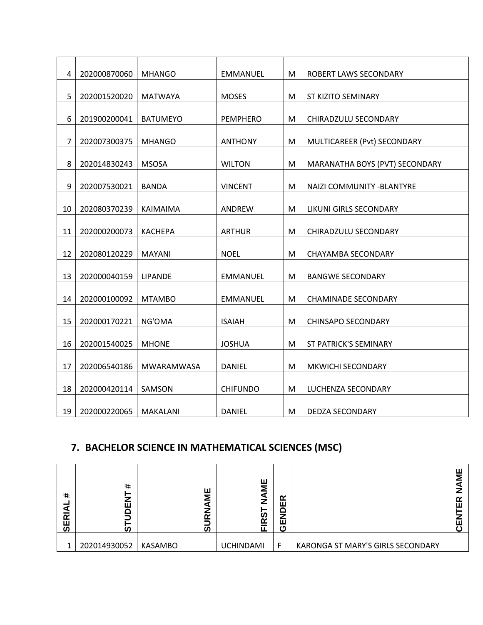| $\overline{4}$ | 202000870060                                                  | <b>MHANGO</b>                                                                                                                                                                | <b>EMMANUEL</b>                                                                                                                                              | M                                                                                                                                                                       | ROBERT LAWS SECONDARY                               |
|----------------|---------------------------------------------------------------|------------------------------------------------------------------------------------------------------------------------------------------------------------------------------|--------------------------------------------------------------------------------------------------------------------------------------------------------------|-------------------------------------------------------------------------------------------------------------------------------------------------------------------------|-----------------------------------------------------|
| 5              | 202001520020                                                  | <b>MATWAYA</b>                                                                                                                                                               | <b>MOSES</b>                                                                                                                                                 | M                                                                                                                                                                       | <b>ST KIZITO SEMINARY</b>                           |
| 6              | 201900200041                                                  | <b>BATUMEYO</b>                                                                                                                                                              | <b>PEMPHERO</b>                                                                                                                                              | M                                                                                                                                                                       | CHIRADZULU SECONDARY                                |
| $\overline{7}$ | 202007300375                                                  | <b>MHANGO</b>                                                                                                                                                                | <b>ANTHONY</b>                                                                                                                                               | M                                                                                                                                                                       | MULTICAREER (Pvt) SECONDARY                         |
| 8              | 202014830243                                                  | <b>MSOSA</b>                                                                                                                                                                 | <b>WILTON</b>                                                                                                                                                | M                                                                                                                                                                       | MARANATHA BOYS (PVT) SECONDARY                      |
|                |                                                               |                                                                                                                                                                              |                                                                                                                                                              |                                                                                                                                                                         | NAIZI COMMUNITY - BLANTYRE                          |
|                |                                                               |                                                                                                                                                                              |                                                                                                                                                              |                                                                                                                                                                         | LIKUNI GIRLS SECONDARY                              |
|                |                                                               |                                                                                                                                                                              |                                                                                                                                                              |                                                                                                                                                                         | CHIRADZULU SECONDARY                                |
|                |                                                               |                                                                                                                                                                              |                                                                                                                                                              |                                                                                                                                                                         | <b>CHAYAMBA SECONDARY</b>                           |
|                |                                                               |                                                                                                                                                                              |                                                                                                                                                              |                                                                                                                                                                         | <b>BANGWE SECONDARY</b>                             |
|                |                                                               |                                                                                                                                                                              |                                                                                                                                                              |                                                                                                                                                                         | <b>CHAMINADE SECONDARY</b>                          |
|                |                                                               |                                                                                                                                                                              |                                                                                                                                                              |                                                                                                                                                                         | <b>CHINSAPO SECONDARY</b>                           |
|                |                                                               |                                                                                                                                                                              |                                                                                                                                                              |                                                                                                                                                                         | ST PATRICK'S SEMINARY                               |
|                |                                                               |                                                                                                                                                                              |                                                                                                                                                              |                                                                                                                                                                         | <b>MKWICHI SECONDARY</b>                            |
|                |                                                               |                                                                                                                                                                              |                                                                                                                                                              |                                                                                                                                                                         | LUCHENZA SECONDARY                                  |
|                |                                                               |                                                                                                                                                                              |                                                                                                                                                              |                                                                                                                                                                         | <b>DEDZA SECONDARY</b>                              |
|                | 9<br>10<br>11<br>12<br>13<br>14<br>15<br>16<br>17<br>18<br>19 | 202007530021<br>202080370239<br>202000200073<br>202080120229<br>202000040159<br>202000100092<br>202000170221<br>202001540025<br>202006540186<br>202000420114<br>202000220065 | <b>BANDA</b><br>KAIMAIMA<br><b>KACHEPA</b><br><b>MAYANI</b><br><b>LIPANDE</b><br><b>MTAMBO</b><br>NG'OMA<br><b>MHONE</b><br>MWARAMWASA<br>SAMSON<br>MAKALANI | <b>VINCENT</b><br>ANDREW<br><b>ARTHUR</b><br><b>NOEL</b><br><b>EMMANUEL</b><br><b>EMMANUEL</b><br><b>ISAIAH</b><br><b>JOSHUA</b><br>DANIEL<br><b>CHIFUNDO</b><br>DANIEL | M<br>M<br>M<br>M<br>M<br>M<br>M<br>M<br>M<br>M<br>M |

#### **7. BACHELOR SCIENCE IN MATHEMATICAL SCIENCES (MSC)**

| #<br>$\mathbf{r}$<br>ш<br>ົທ | $\ddot{}$<br>v<br>ш<br>ഗ | ш<br>∼<br>ທ | ш<br>∼           | $\alpha$<br>ш<br>7<br>ш<br>ტ |                                   | ш<br>ш |
|------------------------------|--------------------------|-------------|------------------|------------------------------|-----------------------------------|--------|
| 1                            | 202014930052             | KASAMBO     | <b>UCHINDAMI</b> | F                            | KARONGA ST MARY'S GIRLS SECONDARY |        |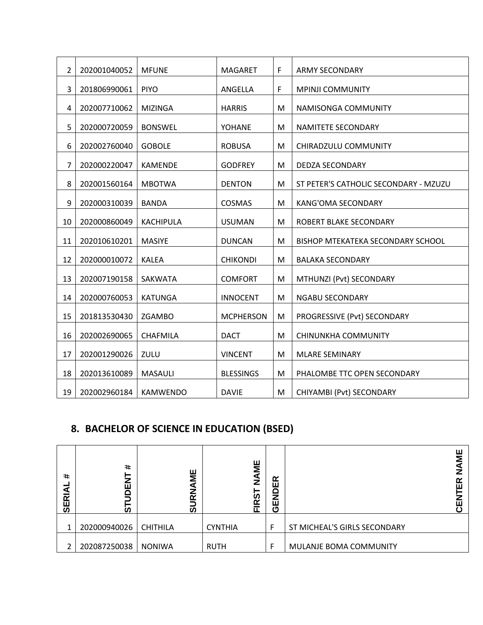| $\overline{2}$ | 202001040052 | <b>MFUNE</b>     | <b>MAGARET</b>   | F         | <b>ARMY SECONDARY</b>                 |
|----------------|--------------|------------------|------------------|-----------|---------------------------------------|
| 3              | 201806990061 | <b>PIYO</b>      | ANGELLA          | F         | <b>MPINJI COMMUNITY</b>               |
| 4              | 202007710062 | <b>MIZINGA</b>   | <b>HARRIS</b>    | M         | NAMISONGA COMMUNITY                   |
| 5              | 202000720059 | <b>BONSWEL</b>   | YOHANE           | M         | NAMITETE SECONDARY                    |
| 6              | 202002760040 | <b>GOBOLE</b>    | <b>ROBUSA</b>    | M         | CHIRADZULU COMMUNITY                  |
| $\overline{7}$ | 202000220047 | <b>KAMENDE</b>   | <b>GODFREY</b>   | M         | <b>DEDZA SECONDARY</b>                |
| 8              | 202001560164 | <b>MBOTWA</b>    | <b>DENTON</b>    | M         | ST PETER'S CATHOLIC SECONDARY - MZUZU |
| 9              | 202000310039 | <b>BANDA</b>     | COSMAS           | M         | <b>KANG'OMA SECONDARY</b>             |
| 10             | 202000860049 | <b>KACHIPULA</b> | <b>USUMAN</b>    | M         | ROBERT BLAKE SECONDARY                |
| 11             | 202010610201 | <b>MASIYE</b>    | <b>DUNCAN</b>    | M         | BISHOP MTEKATEKA SECONDARY SCHOOL     |
| 12             | 202000010072 | <b>KALEA</b>     | <b>CHIKONDI</b>  | M         | <b>BALAKA SECONDARY</b>               |
| 13             | 202007190158 | SAKWATA          | <b>COMFORT</b>   | ${\sf M}$ | MTHUNZI (Pvt) SECONDARY               |
| 14             | 202000760053 | <b>KATUNGA</b>   | <b>INNOCENT</b>  | M         | <b>NGABU SECONDARY</b>                |
| 15             | 201813530430 | ZGAMBO           | <b>MCPHERSON</b> | M         | PROGRESSIVE (Pvt) SECONDARY           |
| 16             | 202002690065 | CHAFMILA         | <b>DACT</b>      | M         | <b>CHINUNKHA COMMUNITY</b>            |
| 17             | 202001290026 | ZULU             | <b>VINCENT</b>   | M         | <b>MLARE SEMINARY</b>                 |
| 18             | 202013610089 | MASAULI          | <b>BLESSINGS</b> | M         | PHALOMBE TTC OPEN SECONDARY           |
|                |              |                  |                  |           |                                       |
| 19             | 202002960184 | <b>KAMWENDO</b>  | <b>DAVIE</b>     | M         | CHIYAMBI (Pvt) SECONDARY              |

#### **8. BACHELOR OF SCIENCE IN EDUCATION (BSED)**

| #<br>$\overline{\mathbf{r}}$<br>ш<br>ົທ | $\ddot{}$<br>z<br>ш<br>ທ | ΜE<br>đ<br>z<br>œ<br>බි | NAME<br>RST<br>ய | ≃<br>ш<br>o<br>Z<br>ш<br>ပ |                              | ш<br>ш<br>ш |
|-----------------------------------------|--------------------------|-------------------------|------------------|----------------------------|------------------------------|-------------|
| 1                                       | 202000940026             | <b>CHITHILA</b>         | <b>CYNTHIA</b>   | F                          | ST MICHEAL'S GIRLS SECONDARY |             |
| 2                                       | 202087250038             | <b>NONIWA</b>           | <b>RUTH</b>      | F                          | MULANJE BOMA COMMUNITY       |             |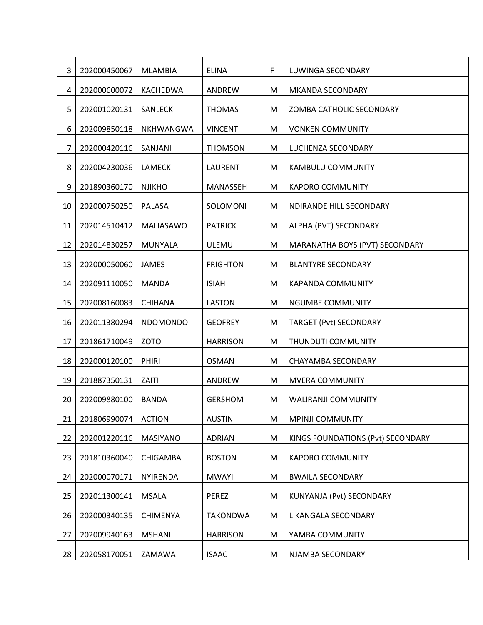| 3  | 202000450067 | <b>MLAMBIA</b>  | <b>ELINA</b>    | F | LUWINGA SECONDARY                 |
|----|--------------|-----------------|-----------------|---|-----------------------------------|
| 4  | 202000600072 | KACHEDWA        | ANDREW          | M | MKANDA SECONDARY                  |
| 5  | 202001020131 | SANLECK         | <b>THOMAS</b>   | M | ZOMBA CATHOLIC SECONDARY          |
| 6  | 202009850118 | NKHWANGWA       | <b>VINCENT</b>  | M | <b>VONKEN COMMUNITY</b>           |
| 7  | 202000420116 | SANJANI         | <b>THOMSON</b>  | M | LUCHENZA SECONDARY                |
| 8  | 202004230036 | <b>LAMECK</b>   | LAURENT         | M | <b>KAMBULU COMMUNITY</b>          |
| 9  | 201890360170 | <b>NJIKHO</b>   | MANASSEH        | M | <b>KAPORO COMMUNITY</b>           |
| 10 | 202000750250 | PALASA          | SOLOMONI        | M | NDIRANDE HILL SECONDARY           |
| 11 | 202014510412 | MALIASAWO       | <b>PATRICK</b>  | M | ALPHA (PVT) SECONDARY             |
| 12 | 202014830257 | <b>MUNYALA</b>  | ULEMU           | M | MARANATHA BOYS (PVT) SECONDARY    |
| 13 | 202000050060 | <b>JAMES</b>    | <b>FRIGHTON</b> | M | <b>BLANTYRE SECONDARY</b>         |
| 14 | 202091110050 | <b>MANDA</b>    | <b>ISIAH</b>    | M | <b>KAPANDA COMMUNITY</b>          |
| 15 | 202008160083 | <b>CHIHANA</b>  | <b>LASTON</b>   | M | <b>NGUMBE COMMUNITY</b>           |
| 16 | 202011380294 | <b>NDOMONDO</b> | <b>GEOFREY</b>  | M | TARGET (Pvt) SECONDARY            |
| 17 | 201861710049 | <b>ZOTO</b>     | <b>HARRISON</b> | M | THUNDUTI COMMUNITY                |
| 18 | 202000120100 | PHIRI           | <b>OSMAN</b>    | M | CHAYAMBA SECONDARY                |
| 19 | 201887350131 | ZAITI           | ANDREW          | M | <b>MVERA COMMUNITY</b>            |
| 20 | 202009880100 | <b>BANDA</b>    | <b>GERSHOM</b>  | M | <b>WALIRANJI COMMUNITY</b>        |
| 21 | 201806990074 | <b>ACTION</b>   | <b>AUSTIN</b>   | M | <b>MPINJI COMMUNITY</b>           |
| 22 | 202001220116 | MASIYANO        | <b>ADRIAN</b>   | M | KINGS FOUNDATIONS (Pvt) SECONDARY |
| 23 | 201810360040 | <b>CHIGAMBA</b> | <b>BOSTON</b>   | M | <b>KAPORO COMMUNITY</b>           |
| 24 | 202000070171 | NYIRENDA        | <b>MWAYI</b>    | M | <b>BWAILA SECONDARY</b>           |
| 25 | 202011300141 | <b>MSALA</b>    | PEREZ           | M | KUNYANJA (Pvt) SECONDARY          |
| 26 | 202000340135 | <b>CHIMENYA</b> | <b>TAKONDWA</b> | M | LIKANGALA SECONDARY               |
| 27 | 202009940163 | <b>MSHANI</b>   | <b>HARRISON</b> | M | YAMBA COMMUNITY                   |
| 28 | 202058170051 | ZAMAWA          | <b>ISAAC</b>    | M | NJAMBA SECONDARY                  |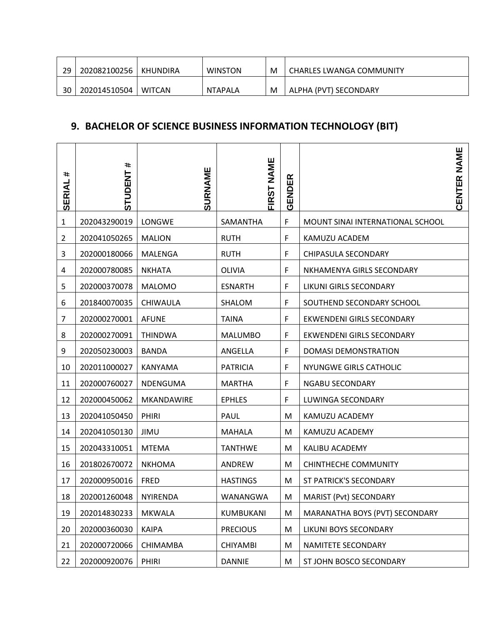| 29 | 202082100256 | KHUNDIRA      | <b>WINSTON</b> | M | <b>CHARLES LWANGA COMMUNITY</b> |
|----|--------------|---------------|----------------|---|---------------------------------|
| 30 | 202014510504 | <b>WITCAN</b> | NTAPALA        | M | ALPHA (PVT) SECONDARY           |

#### **9. BACHELOR OF SCIENCE BUSINESS INFORMATION TECHNOLOGY (BIT)**

| #<br><b>SERIAL</b> | #<br><b>STUDENT</b> | SURNAME        | FIRST NAME      | GENDER |                                  | CENTER NAME |
|--------------------|---------------------|----------------|-----------------|--------|----------------------------------|-------------|
| $\mathbf{1}$       | 202043290019        | LONGWE         | SAMANTHA        | F      | MOUNT SINAI INTERNATIONAL SCHOOL |             |
| $\overline{2}$     | 202041050265        | <b>MALION</b>  | <b>RUTH</b>     | F      | KAMUZU ACADEM                    |             |
| 3                  | 202000180066        | MALENGA        | <b>RUTH</b>     | F      | CHIPASULA SECONDARY              |             |
| 4                  | 202000780085        | <b>NKHATA</b>  | OLIVIA          | F      | NKHAMENYA GIRLS SECONDARY        |             |
| 5                  | 202000370078        | <b>MALOMO</b>  | <b>ESNARTH</b>  | F      | LIKUNI GIRLS SECONDARY           |             |
| 6                  | 201840070035        | CHIWAULA       | SHALOM          | F      | SOUTHEND SECONDARY SCHOOL        |             |
| 7                  | 202000270001        | <b>AFUNE</b>   | <b>TAINA</b>    | F      | EKWENDENI GIRLS SECONDARY        |             |
| 8                  | 202000270091        | <b>THINDWA</b> | <b>MALUMBO</b>  | F      | EKWENDENI GIRLS SECONDARY        |             |
| 9                  | 202050230003        | <b>BANDA</b>   | ANGELLA         | F      | DOMASI DEMONSTRATION             |             |
| 10                 | 202011000027        | KANYAMA        | <b>PATRICIA</b> | F      | <b>NYUNGWE GIRLS CATHOLIC</b>    |             |
| 11                 | 202000760027        | NDENGUMA       | <b>MARTHA</b>   | F      | NGABU SECONDARY                  |             |
| 12                 | 202000450062        | MKANDAWIRE     | <b>EPHLES</b>   | F      | LUWINGA SECONDARY                |             |
| 13                 | 202041050450        | PHIRI          | <b>PAUL</b>     | M      | KAMUZU ACADEMY                   |             |
| 14                 | 202041050130        | JIMU           | <b>MAHALA</b>   | M      | KAMUZU ACADEMY                   |             |
| 15                 | 202043310051        | <b>MTEMA</b>   | <b>TANTHWE</b>  | M      | KALIBU ACADEMY                   |             |
| 16                 | 201802670072        | <b>NKHOMA</b>  | ANDREW          | M      | <b>CHINTHECHE COMMUNITY</b>      |             |
| 17                 | 202000950016        | <b>FRED</b>    | <b>HASTINGS</b> | M      | ST PATRICK'S SECONDARY           |             |
| 18                 | 202001260048        | NYIRENDA       | WANANGWA        | M      | MARIST (Pvt) SECONDARY           |             |
| 19                 | 202014830233        | <b>MKWALA</b>  | KUMBUKANI       | M      | MARANATHA BOYS (PVT) SECONDARY   |             |
| 20                 | 202000360030        | <b>KAIPA</b>   | <b>PRECIOUS</b> | M      | LIKUNI BOYS SECONDARY            |             |
| 21                 | 202000720066        | CHIMAMBA       | <b>CHIYAMBI</b> | M      | NAMITETE SECONDARY               |             |
| 22                 | 202000920076        | PHIRI          | <b>DANNIE</b>   | M      | ST JOHN BOSCO SECONDARY          |             |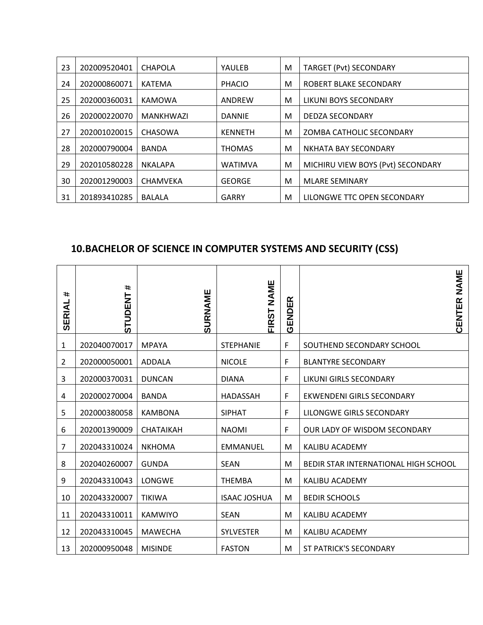| 23 | 202009520401 | CHAPOLA          | YAULEB         | M | <b>TARGET (Pvt) SECONDARY</b>     |
|----|--------------|------------------|----------------|---|-----------------------------------|
| 24 | 202000860071 | KATEMA           | <b>PHACIO</b>  | M | ROBERT BLAKE SECONDARY            |
| 25 | 202000360031 | <b>KAMOWA</b>    | ANDREW         | M | LIKUNI BOYS SECONDARY             |
| 26 | 202000220070 | <b>MANKHWAZI</b> | <b>DANNIE</b>  | M | <b>DEDZA SECONDARY</b>            |
| 27 | 202001020015 | <b>CHASOWA</b>   | <b>KENNETH</b> | M | ZOMBA CATHOLIC SECONDARY          |
| 28 | 202000790004 | <b>BANDA</b>     | <b>THOMAS</b>  | м | NKHATA BAY SECONDARY              |
| 29 | 202010580228 | NKALAPA          | <b>WATIMVA</b> | M | MICHIRU VIEW BOYS (Pvt) SECONDARY |
| 30 | 202001290003 | <b>CHAMVEKA</b>  | <b>GEORGE</b>  | M | <b>MLARE SEMINARY</b>             |
| 31 | 201893410285 | <b>BALALA</b>    | <b>GARRY</b>   | м | LILONGWE TTC OPEN SECONDARY       |

## **10.BACHELOR OF SCIENCE IN COMPUTER SYSTEMS AND SECURITY (CSS)**

| #<br><b>SERIAI</b> | $\ast$<br><b>STUDENT</b> | SURNAME          | <b>NAME</b><br><b>FIRST</b> | ≃<br>面<br>GENDE | NAME<br>CENTER                       |
|--------------------|--------------------------|------------------|-----------------------------|-----------------|--------------------------------------|
| 1                  | 202040070017             | <b>MPAYA</b>     | <b>STEPHANIE</b>            | F               | SOUTHEND SECONDARY SCHOOL            |
| 2                  | 202000050001             | ADDALA           | <b>NICOLE</b>               | F               | <b>BLANTYRE SECONDARY</b>            |
| 3                  | 202000370031             | <b>DUNCAN</b>    | <b>DIANA</b>                | F               | LIKUNI GIRLS SECONDARY               |
| 4                  | 202000270004             | <b>BANDA</b>     | <b>HADASSAH</b>             | F               | EKWENDENI GIRLS SECONDARY            |
| 5                  | 202000380058             | <b>KAMBONA</b>   | <b>SIPHAT</b>               | F               | LILONGWE GIRLS SECONDARY             |
| 6                  | 202001390009             | <b>CHATAIKAH</b> | <b>NAOMI</b>                | F               | OUR LADY OF WISDOM SECONDARY         |
| 7                  | 202043310024             | <b>NKHOMA</b>    | <b>EMMANUEL</b>             | M               | KALIBU ACADEMY                       |
| 8                  | 202040260007             | <b>GUNDA</b>     | <b>SEAN</b>                 | M               | BEDIR STAR INTERNATIONAL HIGH SCHOOL |
| 9                  | 202043310043             | <b>LONGWE</b>    | <b>THEMBA</b>               | M               | KALIBU ACADEMY                       |
| 10                 | 202043320007             | <b>TIKIWA</b>    | <b>ISAAC JOSHUA</b>         | M               | <b>BEDIR SCHOOLS</b>                 |
| 11                 | 202043310011             | <b>KAMWIYO</b>   | <b>SEAN</b>                 | M               | KALIBU ACADEMY                       |
| 12                 | 202043310045             | <b>MAWECHA</b>   | <b>SYLVESTER</b>            | M               | KALIBU ACADEMY                       |
| 13                 | 202000950048             | <b>MISINDE</b>   | <b>FASTON</b>               | M               | ST PATRICK'S SECONDARY               |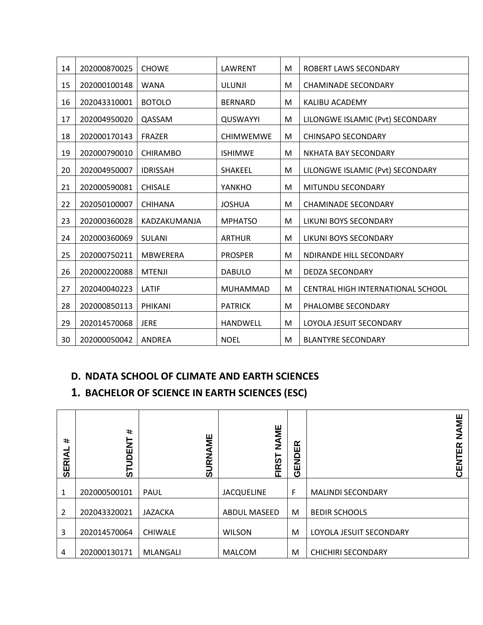| 14 | 202000870025 | <b>CHOWE</b>    | LAWRENT          | М | ROBERT LAWS SECONDARY             |
|----|--------------|-----------------|------------------|---|-----------------------------------|
| 15 | 202000100148 | <b>WANA</b>     | <b>ULUNJI</b>    | М | <b>CHAMINADE SECONDARY</b>        |
| 16 | 202043310001 | <b>BOTOLO</b>   | <b>BERNARD</b>   | M | <b>KALIBU ACADEMY</b>             |
| 17 | 202004950020 | QASSAM          | QUSWAYYI         | M | LILONGWE ISLAMIC (Pvt) SECONDARY  |
| 18 | 202000170143 | <b>FRAZER</b>   | <b>CHIMWEMWE</b> | M | <b>CHINSAPO SECONDARY</b>         |
| 19 | 202000790010 | <b>CHIRAMBO</b> | <b>ISHIMWE</b>   | М | NKHATA BAY SECONDARY              |
| 20 | 202004950007 | <b>IDRISSAH</b> | <b>SHAKEEL</b>   | М | LILONGWE ISLAMIC (Pvt) SECONDARY  |
| 21 | 202000590081 | <b>CHISALE</b>  | YANKHO           | M | MITUNDU SECONDARY                 |
| 22 | 202050100007 | <b>CHIHANA</b>  | <b>JOSHUA</b>    | М | <b>CHAMINADE SECONDARY</b>        |
| 23 | 202000360028 | KADZAKUMANJA    | <b>MPHATSO</b>   | М | LIKUNI BOYS SECONDARY             |
| 24 | 202000360069 | SULANI          | <b>ARTHUR</b>    | М | LIKUNI BOYS SECONDARY             |
| 25 | 202000750211 | <b>MBWERERA</b> | <b>PROSPER</b>   | М | NDIRANDE HILL SECONDARY           |
| 26 | 202000220088 | <b>MTENJI</b>   | <b>DABULO</b>    | M | <b>DEDZA SECONDARY</b>            |
| 27 | 202040040223 | LATIF           | <b>MUHAMMAD</b>  | М | CENTRAL HIGH INTERNATIONAL SCHOOL |
| 28 | 202000850113 | <b>PHIKANI</b>  | <b>PATRICK</b>   | М | PHALOMBE SECONDARY                |
| 29 | 202014570068 | <b>JERE</b>     | <b>HANDWELL</b>  | М | LOYOLA JESUIT SECONDARY           |
| 30 | 202000050042 | ANDREA          | <b>NOEL</b>      | M | <b>BLANTYRE SECONDARY</b>         |

#### **D. NDATA SCHOOL OF CLIMATE AND EARTH SCIENCES**

#### **1. BACHELOR OF SCIENCE IN EARTH SCIENCES (ESC)**

| $\ddot{\phantom{1}}$<br><b>SERIAI</b> | $\ddot{}$<br>Ξ<br>ш<br>≏<br>う<br>_<br>თ | URNAME<br>ທ    | NAME<br><b>FIRST</b> | ≃<br>NDE1<br>ш<br>ტ | NAME<br>≃<br>ш<br>Z<br>Щ<br>ပ |
|---------------------------------------|-----------------------------------------|----------------|----------------------|---------------------|-------------------------------|
| 1                                     | 202000500101                            | PAUL           | <b>JACQUELINE</b>    | F                   | <b>MALINDI SECONDARY</b>      |
| $\overline{2}$                        | 202043320021                            | <b>JAZACKA</b> | <b>ABDUL MASEED</b>  | M                   | <b>BEDIR SCHOOLS</b>          |
| 3                                     | 202014570064                            | <b>CHIWALE</b> | <b>WILSON</b>        | M                   | LOYOLA JESUIT SECONDARY       |
| 4                                     | 202000130171                            | MLANGALI       | <b>MALCOM</b>        | M                   | <b>CHICHIRI SECONDARY</b>     |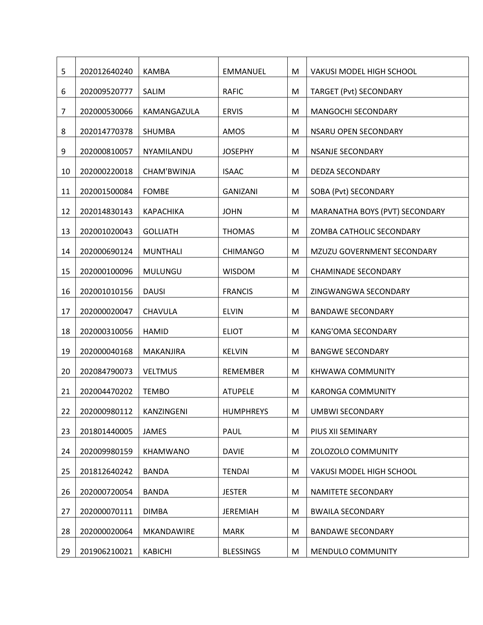| 5  | 202012640240 | <b>KAMBA</b>     | <b>EMMANUEL</b>  | M | <b>VAKUSI MODEL HIGH SCHOOL</b> |
|----|--------------|------------------|------------------|---|---------------------------------|
| 6  | 202009520777 | SALIM            | <b>RAFIC</b>     | M | TARGET (Pvt) SECONDARY          |
| 7  | 202000530066 | KAMANGAZULA      | <b>ERVIS</b>     | M | MANGOCHI SECONDARY              |
| 8  | 202014770378 | <b>SHUMBA</b>    | AMOS             | M | NSARU OPEN SECONDARY            |
| 9  | 202000810057 | NYAMILANDU       | <b>JOSEPHY</b>   | M | <b>NSANJE SECONDARY</b>         |
| 10 | 202000220018 | CHAM'BWINJA      | <b>ISAAC</b>     | M | <b>DEDZA SECONDARY</b>          |
| 11 | 202001500084 | <b>FOMBE</b>     | <b>GANIZANI</b>  | M | SOBA (Pvt) SECONDARY            |
| 12 | 202014830143 | <b>KAPACHIKA</b> | <b>JOHN</b>      | M | MARANATHA BOYS (PVT) SECONDARY  |
| 13 | 202001020043 | <b>GOLLIATH</b>  | <b>THOMAS</b>    | M | ZOMBA CATHOLIC SECONDARY        |
| 14 | 202000690124 | <b>MUNTHALI</b>  | <b>CHIMANGO</b>  | M | MZUZU GOVERNMENT SECONDARY      |
|    |              |                  |                  |   |                                 |
| 15 | 202000100096 | MULUNGU          | <b>WISDOM</b>    | M | <b>CHAMINADE SECONDARY</b>      |
| 16 | 202001010156 | <b>DAUSI</b>     | <b>FRANCIS</b>   | M | ZINGWANGWA SECONDARY            |
| 17 | 202000020047 | CHAVULA          | <b>ELVIN</b>     | M | <b>BANDAWE SECONDARY</b>        |
| 18 | 202000310056 | <b>HAMID</b>     | <b>ELIOT</b>     | M | <b>KANG'OMA SECONDARY</b>       |
| 19 | 202000040168 | MAKANJIRA        | <b>KELVIN</b>    | M | <b>BANGWE SECONDARY</b>         |
| 20 | 202084790073 | <b>VELTMUS</b>   | <b>REMEMBER</b>  | M | KHWAWA COMMUNITY                |
| 21 | 202004470202 | <b>TEMBO</b>     | <b>ATUPELE</b>   | M | <b>KARONGA COMMUNITY</b>        |
| 22 | 202000980112 | KANZINGENI       | <b>HUMPHREYS</b> | M | <b>UMBWI SECONDARY</b>          |
| 23 | 201801440005 | <b>JAMES</b>     | PAUL             | M | PIUS XII SEMINARY               |
| 24 | 202009980159 | <b>KHAMWANO</b>  | <b>DAVIE</b>     | M | ZOLOZOLO COMMUNITY              |
| 25 | 201812640242 | <b>BANDA</b>     | <b>TENDAI</b>    | M | VAKUSI MODEL HIGH SCHOOL        |
| 26 | 202000720054 | <b>BANDA</b>     | <b>JESTER</b>    | M | NAMITETE SECONDARY              |
| 27 | 202000070111 | <b>DIMBA</b>     | <b>JEREMIAH</b>  | M | <b>BWAILA SECONDARY</b>         |
| 28 | 202000020064 | MKANDAWIRE       | <b>MARK</b>      | M | <b>BANDAWE SECONDARY</b>        |
| 29 | 201906210021 | <b>KABICHI</b>   | <b>BLESSINGS</b> | M | MENDULO COMMUNITY               |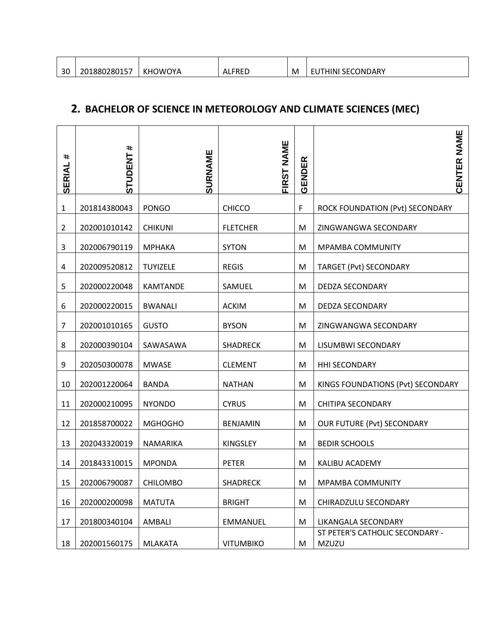| 30 | 1880280157 | ገWOYA<br>KH <sub>0</sub> | FREC<br>AL. | M | ، SECONDARY<br>EЧINг.<br>--- |
|----|------------|--------------------------|-------------|---|------------------------------|

#### **2. BACHELOR OF SCIENCE IN METEOROLOGY AND CLIMATE SCIENCES (MEC)**

| #<br>SERIAL    | #<br><b>STUDENT</b> | SURNAME         | <b>FIRST NAME</b> | ER<br>iensi<br>$\overline{\mathbf{C}}$ | NAME<br>CENTER                           |
|----------------|---------------------|-----------------|-------------------|----------------------------------------|------------------------------------------|
| $\mathbf{1}$   | 201814380043        | <b>PONGO</b>    | <b>CHICCO</b>     | F                                      | ROCK FOUNDATION (Pvt) SECONDARY          |
| $\overline{2}$ | 202001010142        | <b>CHIKUNI</b>  | <b>FLETCHER</b>   | M                                      | ZINGWANGWA SECONDARY                     |
| 3              | 202006790119        | <b>MPHAKA</b>   | <b>SYTON</b>      | M                                      | <b>MPAMBA COMMUNITY</b>                  |
| 4              | 202009520812        | <b>TUYIZELE</b> | <b>REGIS</b>      | M                                      | TARGET (Pvt) SECONDARY                   |
| 5              | 202000220048        | <b>KAMTANDE</b> | SAMUEL            | M                                      | <b>DEDZA SECONDARY</b>                   |
| 6              | 202000220015        | <b>BWANALI</b>  | <b>ACKIM</b>      | M                                      | <b>DEDZA SECONDARY</b>                   |
| 7              | 202001010165        | <b>GUSTO</b>    | <b>BYSON</b>      | M                                      | ZINGWANGWA SECONDARY                     |
| 8              | 202000390104        | SAWASAWA        | <b>SHADRECK</b>   | M                                      | LISUMBWI SECONDARY                       |
| 9              | 202050300078        | <b>MWASE</b>    | <b>CLEMENT</b>    | M                                      | <b>HHI SECONDARY</b>                     |
| 10             | 202001220064        | <b>BANDA</b>    | <b>NATHAN</b>     | M                                      | KINGS FOUNDATIONS (Pvt) SECONDARY        |
| 11             | 202000210095        | <b>NYONDO</b>   | <b>CYRUS</b>      | M                                      | <b>CHITIPA SECONDARY</b>                 |
| 12             | 201858700022        | <b>MGHOGHO</b>  | <b>BENJAMIN</b>   | M                                      | <b>OUR FUTURE (Pvt) SECONDARY</b>        |
| 13             | 202043320019        | NAMARIKA        | <b>KINGSLEY</b>   | M                                      | <b>BEDIR SCHOOLS</b>                     |
| 14             | 201843310015        | <b>MPONDA</b>   | <b>PETER</b>      | M                                      | KALIBU ACADEMY                           |
| 15             | 202006790087        | <b>CHILOMBO</b> | <b>SHADRECK</b>   | M                                      | MPAMBA COMMUNITY                         |
| 16             | 202000200098        | <b>MATUTA</b>   | <b>BRIGHT</b>     | M                                      | CHIRADZULU SECONDARY                     |
| 17             | 201800340104        | AMBALI          | <b>EMMANUEL</b>   | M                                      | LIKANGALA SECONDARY                      |
| 18             | 202001560175        | <b>MLAKATA</b>  | <b>VITUMBIKO</b>  | M                                      | ST PETER'S CATHOLIC SECONDARY -<br>MZUZU |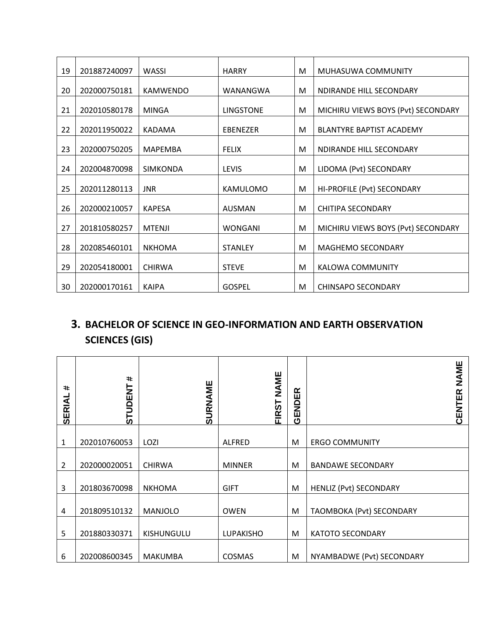| 19 | 201887240097 | WASSI           | <b>HARRY</b>     | M | MUHASUWA COMMUNITY                 |
|----|--------------|-----------------|------------------|---|------------------------------------|
| 20 | 202000750181 | <b>KAMWENDO</b> | WANANGWA         | M | NDIRANDE HILL SECONDARY            |
| 21 | 202010580178 | <b>MINGA</b>    | <b>LINGSTONE</b> | M | MICHIRU VIEWS BOYS (Pvt) SECONDARY |
| 22 | 202011950022 | KADAMA          | EBENEZER         | M | <b>BLANTYRE BAPTIST ACADEMY</b>    |
| 23 | 202000750205 | <b>MAPEMBA</b>  | <b>FELIX</b>     | M | NDIRANDE HILL SECONDARY            |
| 24 | 202004870098 | <b>SIMKONDA</b> | LEVIS            | M | LIDOMA (Pvt) SECONDARY             |
| 25 | 202011280113 | <b>JNR</b>      | <b>KAMULOMO</b>  | M | HI-PROFILE (Pvt) SECONDARY         |
| 26 | 202000210057 | <b>KAPESA</b>   | <b>AUSMAN</b>    | M | <b>CHITIPA SECONDARY</b>           |
| 27 | 201810580257 | <b>MTENJI</b>   | <b>WONGANI</b>   | M | MICHIRU VIEWS BOYS (Pvt) SECONDARY |
| 28 | 202085460101 | <b>NKHOMA</b>   | <b>STANLEY</b>   | M | <b>MAGHEMO SECONDARY</b>           |
| 29 | 202054180001 | <b>CHIRWA</b>   | <b>STEVE</b>     | M | KALOWA COMMUNITY                   |
| 30 | 202000170161 | <b>KAIPA</b>    | <b>GOSPEL</b>    | M | <b>CHINSAPO SECONDARY</b>          |

## **3. BACHELOR OF SCIENCE IN GEO-INFORMATION AND EARTH OBSERVATION SCIENCES (GIS)**

| $\ddot{}$<br><b>SERIAL</b> | #<br><b>STUDENT</b> | SURNAME        | <b>NAME</b><br><b>FIRST</b> | 띥<br><b>GEND</b> | <b>NAME</b><br>CENTER         |
|----------------------------|---------------------|----------------|-----------------------------|------------------|-------------------------------|
|                            |                     |                |                             |                  |                               |
| 1                          | 202010760053        | LOZI           | <b>ALFRED</b>               | M                | <b>ERGO COMMUNITY</b>         |
|                            |                     |                |                             |                  |                               |
| 2                          | 202000020051        | <b>CHIRWA</b>  | <b>MINNER</b>               | M                | <b>BANDAWE SECONDARY</b>      |
|                            |                     |                |                             |                  |                               |
| 3                          | 201803670098        | <b>NKHOMA</b>  | <b>GIFT</b>                 | M                | <b>HENLIZ (Pvt) SECONDARY</b> |
|                            |                     |                |                             |                  |                               |
| 4                          | 201809510132        | <b>MANJOLO</b> | <b>OWEN</b>                 | M                | TAOMBOKA (Pvt) SECONDARY      |
|                            |                     |                |                             |                  |                               |
| 5                          | 201880330371        | KISHUNGULU     | <b>LUPAKISHO</b>            | M                | <b>KATOTO SECONDARY</b>       |
|                            |                     |                |                             |                  |                               |
| 6                          | 202008600345        | <b>MAKUMBA</b> | COSMAS                      | M                | NYAMBADWE (Pvt) SECONDARY     |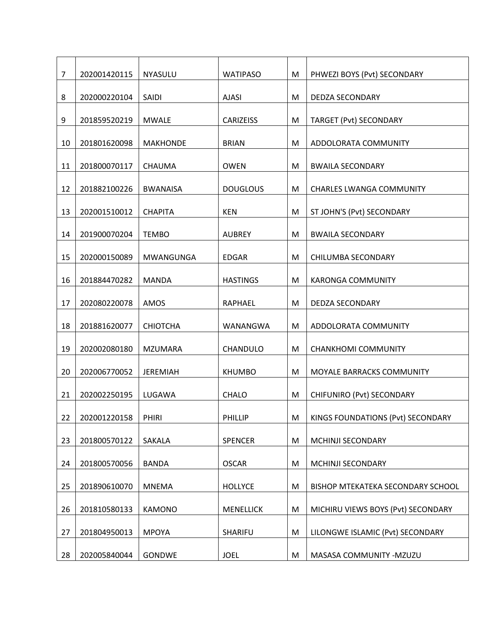| $\overline{7}$ | 202001420115 | NYASULU          | <b>WATIPASO</b>  | M | PHWEZI BOYS (Pvt) SECONDARY        |
|----------------|--------------|------------------|------------------|---|------------------------------------|
| 8              | 202000220104 | SAIDI            | <b>AJASI</b>     | M | DEDZA SECONDARY                    |
| 9              | 201859520219 | <b>MWALE</b>     | <b>CARIZEISS</b> | M | <b>TARGET (Pvt) SECONDARY</b>      |
| 10             | 201801620098 | <b>MAKHONDE</b>  | <b>BRIAN</b>     | M | ADDOLORATA COMMUNITY               |
| 11             | 201800070117 | CHAUMA           | <b>OWEN</b>      | M | <b>BWAILA SECONDARY</b>            |
| 12             | 201882100226 |                  | <b>DOUGLOUS</b>  | M |                                    |
|                |              | <b>BWANAISA</b>  |                  |   | <b>CHARLES LWANGA COMMUNITY</b>    |
| 13             | 202001510012 | <b>CHAPITA</b>   | <b>KEN</b>       | M | ST JOHN'S (Pvt) SECONDARY          |
| 14             | 201900070204 | <b>TEMBO</b>     | <b>AUBREY</b>    | M | <b>BWAILA SECONDARY</b>            |
| 15             | 202000150089 | <b>MWANGUNGA</b> | <b>EDGAR</b>     | M | CHILUMBA SECONDARY                 |
| 16             | 201884470282 | <b>MANDA</b>     | <b>HASTINGS</b>  | M | <b>KARONGA COMMUNITY</b>           |
| 17             | 202080220078 | AMOS             | RAPHAEL          | M | <b>DEDZA SECONDARY</b>             |
| 18             | 201881620077 | <b>CHIOTCHA</b>  | WANANGWA         | M | ADDOLORATA COMMUNITY               |
| 19             | 202002080180 | <b>MZUMARA</b>   | CHANDULO         | M | <b>CHANKHOMI COMMUNITY</b>         |
| 20             | 202006770052 | <b>JEREMIAH</b>  | <b>KHUMBO</b>    | M | MOYALE BARRACKS COMMUNITY          |
| 21             | 202002250195 | LUGAWA           | CHALO            | M | CHIFUNIRO (Pvt) SECONDARY          |
| 22             | 202001220158 | PHIRI            | PHILLIP          | M | KINGS FOUNDATIONS (Pvt) SECONDARY  |
| 23             | 201800570122 | SAKALA           | <b>SPENCER</b>   | M | MCHINJI SECONDARY                  |
| 24             | 201800570056 | <b>BANDA</b>     | <b>OSCAR</b>     | M | MCHINJI SECONDARY                  |
|                |              |                  |                  |   |                                    |
| 25             | 201890610070 | <b>MNEMA</b>     | <b>HOLLYCE</b>   | M | BISHOP MTEKATEKA SECONDARY SCHOOL  |
| 26             | 201810580133 | KAMONO           | <b>MENELLICK</b> | M | MICHIRU VIEWS BOYS (Pvt) SECONDARY |
| 27             | 201804950013 | <b>MPOYA</b>     | SHARIFU          | M | LILONGWE ISLAMIC (Pvt) SECONDARY   |
| 28             | 202005840044 | <b>GONDWE</b>    | <b>JOEL</b>      | M | MASASA COMMUNITY -MZUZU            |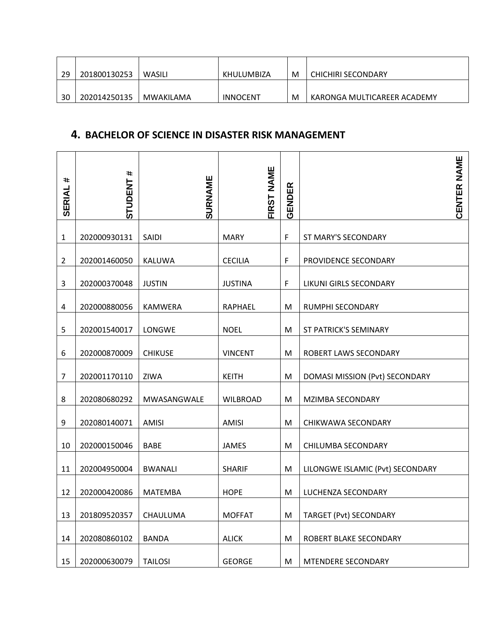| 29 | 201800130253 | WASILI    | KHULUMBIZA | M | CHICHIRI SECONDARY          |
|----|--------------|-----------|------------|---|-----------------------------|
| 30 | 202014250135 | MWAKILAMA | INNOCENT   | M | KARONGA MULTICAREER ACADEMY |

#### **4. BACHELOR OF SCIENCE IN DISASTER RISK MANAGEMENT**

| $\ddot{}$<br><b>SERIAL</b> | #<br><b>STUDENT</b> | SURNAME        | NAME<br><b>FIRST</b> | <b>GENDER</b> | <b>CENTER NAME</b>               |
|----------------------------|---------------------|----------------|----------------------|---------------|----------------------------------|
| $\mathbf{1}$               | 202000930131        | SAIDI          | <b>MARY</b>          | F             | ST MARY'S SECONDARY              |
| $\overline{2}$             | 202001460050        | <b>KALUWA</b>  | <b>CECILIA</b>       | F             | PROVIDENCE SECONDARY             |
| 3                          | 202000370048        | <b>JUSTIN</b>  | <b>JUSTINA</b>       | $\mathsf F$   | LIKUNI GIRLS SECONDARY           |
| 4                          | 202000880056        | <b>KAMWERA</b> | <b>RAPHAEL</b>       | M             | RUMPHI SECONDARY                 |
| 5                          | 202001540017        | LONGWE         | <b>NOEL</b>          | M             | ST PATRICK'S SEMINARY            |
| 6                          | 202000870009        | <b>CHIKUSE</b> | <b>VINCENT</b>       | M             | ROBERT LAWS SECONDARY            |
| 7                          | 202001170110        | ZIWA           | <b>KEITH</b>         | M             | DOMASI MISSION (Pvt) SECONDARY   |
| 8                          | 202080680292        | MWASANGWALE    | <b>WILBROAD</b>      | M             | <b>MZIMBA SECONDARY</b>          |
| 9                          | 202080140071        | <b>AMISI</b>   | <b>AMISI</b>         | M             | CHIKWAWA SECONDARY               |
| 10                         | 202000150046        | <b>BABE</b>    | <b>JAMES</b>         | M             | CHILUMBA SECONDARY               |
| 11                         | 202004950004        | <b>BWANALI</b> | <b>SHARIF</b>        | M             | LILONGWE ISLAMIC (Pvt) SECONDARY |
| 12                         | 202000420086        | <b>MATEMBA</b> | <b>HOPE</b>          | M             | LUCHENZA SECONDARY               |
| 13                         | 201809520357        | CHAULUMA       | <b>MOFFAT</b>        | M             | <b>TARGET (Pvt) SECONDARY</b>    |
| 14                         | 202080860102        | <b>BANDA</b>   | <b>ALICK</b>         | M             | ROBERT BLAKE SECONDARY           |
| 15                         | 202000630079        | <b>TAILOSI</b> | <b>GEORGE</b>        | M             | MTENDERE SECONDARY               |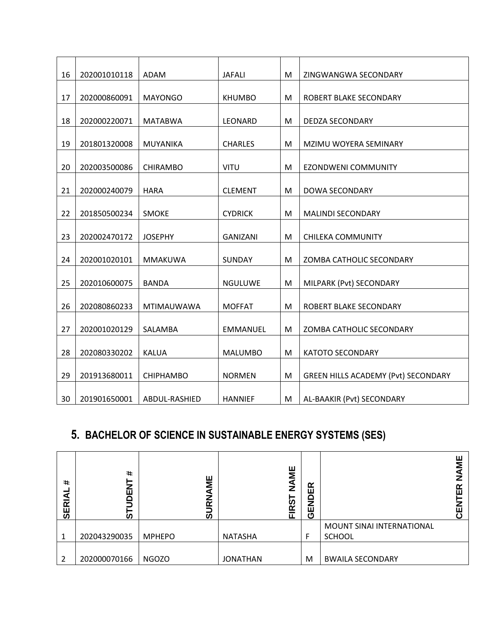| 16 | 202001010118 | <b>ADAM</b>       | <b>JAFALI</b>   | M | ZINGWANGWA SECONDARY                       |
|----|--------------|-------------------|-----------------|---|--------------------------------------------|
| 17 | 202000860091 | <b>MAYONGO</b>    | <b>KHUMBO</b>   | M | ROBERT BLAKE SECONDARY                     |
|    |              |                   |                 |   |                                            |
| 18 | 202000220071 | <b>MATABWA</b>    | LEONARD         | M | <b>DEDZA SECONDARY</b>                     |
| 19 | 201801320008 | <b>MUYANIKA</b>   | <b>CHARLES</b>  | M | MZIMU WOYERA SEMINARY                      |
|    |              |                   |                 |   |                                            |
| 20 | 202003500086 | <b>CHIRAMBO</b>   | <b>VITU</b>     | M | <b>EZONDWENI COMMUNITY</b>                 |
| 21 | 202000240079 | <b>HARA</b>       | <b>CLEMENT</b>  | M | <b>DOWA SECONDARY</b>                      |
|    |              |                   |                 |   |                                            |
| 22 | 201850500234 | <b>SMOKE</b>      | <b>CYDRICK</b>  | M | <b>MALINDI SECONDARY</b>                   |
|    |              |                   |                 |   |                                            |
| 23 | 202002470172 | <b>JOSEPHY</b>    | <b>GANIZANI</b> | M | <b>CHILEKA COMMUNITY</b>                   |
| 24 | 202001020101 | MMAKUWA           | SUNDAY          | M | ZOMBA CATHOLIC SECONDARY                   |
|    |              |                   |                 |   |                                            |
| 25 | 202010600075 | <b>BANDA</b>      | <b>NGULUWE</b>  | M | MILPARK (Pvt) SECONDARY                    |
|    |              |                   |                 |   |                                            |
| 26 | 202080860233 | <b>MTIMAUWAWA</b> | <b>MOFFAT</b>   | M | ROBERT BLAKE SECONDARY                     |
| 27 | 202001020129 | SALAMBA           | <b>EMMANUEL</b> | M | ZOMBA CATHOLIC SECONDARY                   |
|    |              |                   |                 |   |                                            |
| 28 | 202080330202 | <b>KALUA</b>      | <b>MALUMBO</b>  | M | <b>KATOTO SECONDARY</b>                    |
|    |              |                   |                 |   |                                            |
| 29 | 201913680011 | CHIPHAMBO         | <b>NORMEN</b>   | M | <b>GREEN HILLS ACADEMY (Pvt) SECONDARY</b> |
|    |              |                   |                 |   |                                            |
| 30 | 201901650001 | ABDUL-RASHIED     | <b>HANNIEF</b>  | M | AL-BAAKIR (Pvt) SECONDARY                  |

## **5. BACHELOR OF SCIENCE IN SUSTAINABLE ENERGY SYSTEMS (SES)**

| $\ddot{\phantom{1}}$<br>đ<br>$\overline{\mathbf{r}}$<br>50 | $\ddot{}$<br>ш<br>ัด | ш<br>≅<br>7<br>مہ<br>ທ | ш<br>Σ<br>$\mathbf{z}$<br>m.<br>œ<br>ш | 띥<br>Ō<br>Na<br>ပ |                           | ш<br>⋝<br>≃<br>ш<br>ш |
|------------------------------------------------------------|----------------------|------------------------|----------------------------------------|-------------------|---------------------------|-----------------------|
|                                                            |                      |                        |                                        |                   | MOUNT SINAI INTERNATIONAL |                       |
|                                                            | 202043290035         | <b>MPHEPO</b>          | <b>NATASHA</b>                         | F                 | <b>SCHOOL</b>             |                       |
|                                                            | 202000070166         | <b>NGOZO</b>           | <b>JONATHAN</b>                        | M                 | <b>BWAILA SECONDARY</b>   |                       |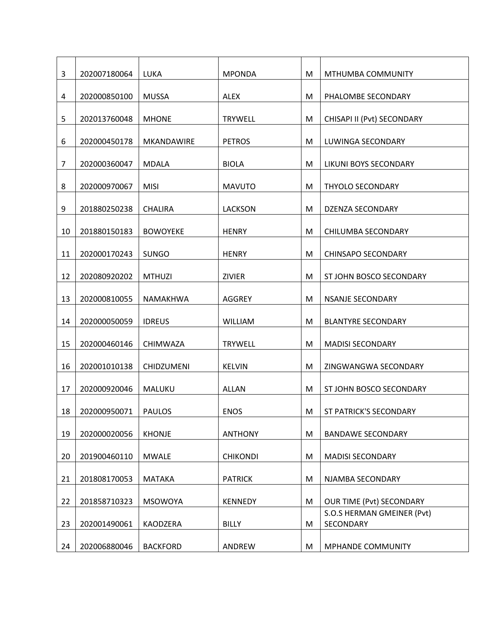| 3              | 202007180064 | LUKA              | <b>MPONDA</b>   | M | MTHUMBA COMMUNITY                                             |
|----------------|--------------|-------------------|-----------------|---|---------------------------------------------------------------|
| 4              | 202000850100 | <b>MUSSA</b>      | <b>ALEX</b>     | M | PHALOMBE SECONDARY                                            |
| 5              | 202013760048 | <b>MHONE</b>      | <b>TRYWELL</b>  | M | CHISAPI II (Pvt) SECONDARY                                    |
| 6              | 202000450178 | <b>MKANDAWIRE</b> | <b>PETROS</b>   | M | LUWINGA SECONDARY                                             |
| $\overline{7}$ | 202000360047 | <b>MDALA</b>      | <b>BIOLA</b>    | M | LIKUNI BOYS SECONDARY                                         |
| 8              | 202000970067 | <b>MISI</b>       | <b>MAVUTO</b>   | M | <b>THYOLO SECONDARY</b>                                       |
| 9              | 201880250238 | <b>CHALIRA</b>    | <b>LACKSON</b>  | M | <b>DZENZA SECONDARY</b>                                       |
| 10             | 201880150183 | <b>BOWOYEKE</b>   | <b>HENRY</b>    | M | CHILUMBA SECONDARY                                            |
| 11             | 202000170243 | SUNGO             | <b>HENRY</b>    | M | <b>CHINSAPO SECONDARY</b>                                     |
| 12             | 202080920202 | <b>MTHUZI</b>     | <b>ZIVIER</b>   | M | ST JOHN BOSCO SECONDARY                                       |
| 13             | 202000810055 |                   | <b>AGGREY</b>   | M | <b>NSANJE SECONDARY</b>                                       |
|                |              | NAMAKHWA          |                 |   |                                                               |
| 14             | 202000050059 | <b>IDREUS</b>     | <b>WILLIAM</b>  | M | <b>BLANTYRE SECONDARY</b>                                     |
| 15             | 202000460146 | CHIMWAZA          | <b>TRYWELL</b>  | M | <b>MADISI SECONDARY</b>                                       |
| 16             | 202001010138 | <b>CHIDZUMENI</b> | <b>KELVIN</b>   | M | ZINGWANGWA SECONDARY                                          |
| 17             | 202000920046 | MALUKU            | <b>ALLAN</b>    | M | ST JOHN BOSCO SECONDARY                                       |
| 18             | 202000950071 | <b>PAULOS</b>     | <b>ENOS</b>     | M | ST PATRICK'S SECONDARY                                        |
| 19             | 202000020056 | <b>KHONJE</b>     | <b>ANTHONY</b>  | M | <b>BANDAWE SECONDARY</b>                                      |
| 20             | 201900460110 | <b>MWALE</b>      | <b>CHIKONDI</b> | M | <b>MADISI SECONDARY</b>                                       |
| 21             | 201808170053 | <b>MATAKA</b>     | <b>PATRICK</b>  | M | NJAMBA SECONDARY                                              |
|                |              |                   |                 |   |                                                               |
| 22             | 201858710323 | <b>MSOWOYA</b>    | <b>KENNEDY</b>  | M | <b>OUR TIME (Pvt) SECONDARY</b><br>S.O.S HERMAN GMEINER (Pvt) |
| 23             | 202001490061 | KAODZERA          | <b>BILLY</b>    | M | SECONDARY                                                     |
| 24             | 202006880046 | <b>BACKFORD</b>   | ANDREW          | M | MPHANDE COMMUNITY                                             |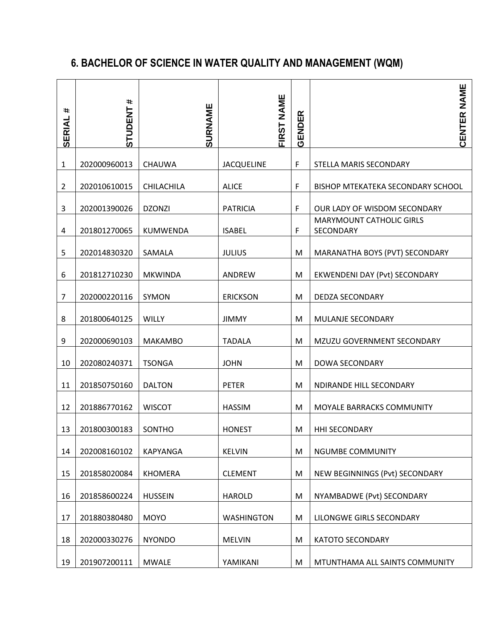## **6. BACHELOR OF SCIENCE IN WATER QUALITY AND MANAGEMENT (WQM)**

| #<br>SERIAL    | #<br><b>STUDENT</b> | SURNAME         | FIRST NAME        | GENDER | CENTER NAME                                  |
|----------------|---------------------|-----------------|-------------------|--------|----------------------------------------------|
| $\mathbf{1}$   | 202000960013        | <b>CHAUWA</b>   | <b>JACQUELINE</b> | F      | STELLA MARIS SECONDARY                       |
| $\overline{2}$ | 202010610015        | CHILACHILA      | <b>ALICE</b>      | F      | BISHOP MTEKATEKA SECONDARY SCHOOL            |
| 3              | 202001390026        | <b>DZONZI</b>   | <b>PATRICIA</b>   | F      | OUR LADY OF WISDOM SECONDARY                 |
| 4              | 201801270065        | <b>KUMWENDA</b> | <b>ISABEL</b>     | F      | <b>MARYMOUNT CATHOLIC GIRLS</b><br>SECONDARY |
| 5              | 202014830320        | SAMALA          | <b>JULIUS</b>     | M      | MARANATHA BOYS (PVT) SECONDARY               |
| 6              | 201812710230        | <b>MKWINDA</b>  | ANDREW            | M      | EKWENDENI DAY (Pvt) SECONDARY                |
| $\overline{7}$ | 202000220116        | SYMON           | <b>ERICKSON</b>   | M      | <b>DEDZA SECONDARY</b>                       |
| 8              | 201800640125        | <b>WILLY</b>    | <b>JIMMY</b>      | M      | <b>MULANJE SECONDARY</b>                     |
| 9              | 202000690103        | <b>MAKAMBO</b>  | <b>TADALA</b>     | M      | MZUZU GOVERNMENT SECONDARY                   |
| 10             | 202080240371        | <b>TSONGA</b>   | <b>JOHN</b>       | M      | <b>DOWA SECONDARY</b>                        |
| 11             | 201850750160        | <b>DALTON</b>   | <b>PETER</b>      | M      | NDIRANDE HILL SECONDARY                      |
| 12             | 201886770162        | <b>WISCOT</b>   | <b>HASSIM</b>     | M      | MOYALE BARRACKS COMMUNITY                    |
| 13             | 201800300183        | SONTHO          | <b>HONEST</b>     | M      | <b>HHI SECONDARY</b>                         |
| 14             | 202008160102        | <b>KAPYANGA</b> | <b>KELVIN</b>     | M      | NGUMBE COMMUNITY                             |
| 15             | 201858020084        | <b>KHOMERA</b>  | <b>CLEMENT</b>    | M      | NEW BEGINNINGS (Pvt) SECONDARY               |
| 16             | 201858600224        | <b>HUSSEIN</b>  | <b>HAROLD</b>     | M      | NYAMBADWE (Pvt) SECONDARY                    |
| 17             | 201880380480        | <b>MOYO</b>     | <b>WASHINGTON</b> | M      | LILONGWE GIRLS SECONDARY                     |
| 18             | 202000330276        | <b>NYONDO</b>   | <b>MELVIN</b>     | M      | <b>KATOTO SECONDARY</b>                      |
| 19             | 201907200111        | <b>MWALE</b>    | YAMIKANI          | M      | MTUNTHAMA ALL SAINTS COMMUNITY               |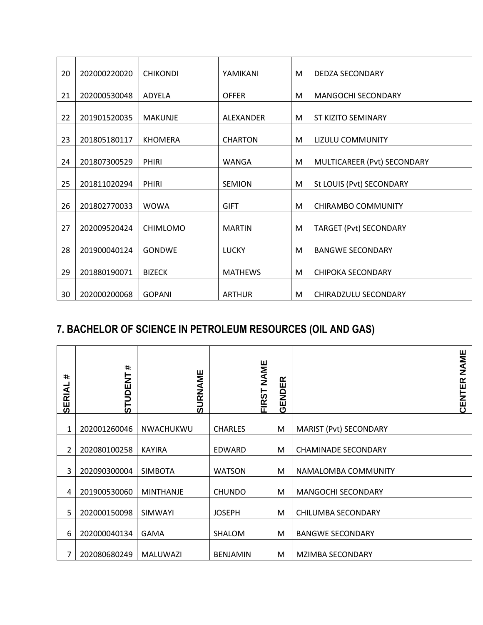| 20 | 202000220020 | <b>CHIKONDI</b> | YAMIKANI       | M | DEDZA SECONDARY             |
|----|--------------|-----------------|----------------|---|-----------------------------|
| 21 | 202000530048 | ADYELA          | <b>OFFER</b>   | M | MANGOCHI SECONDARY          |
|    |              |                 |                |   |                             |
| 22 | 201901520035 | <b>MAKUNJE</b>  | ALEXANDER      | M | ST KIZITO SEMINARY          |
| 23 | 201805180117 | <b>KHOMERA</b>  | <b>CHARTON</b> | M | LIZULU COMMUNITY            |
| 24 | 201807300529 | <b>PHIRI</b>    | WANGA          | M | MULTICAREER (Pvt) SECONDARY |
|    |              |                 |                |   |                             |
| 25 | 201811020294 | <b>PHIRI</b>    | <b>SEMION</b>  | M | St LOUIS (Pvt) SECONDARY    |
| 26 | 201802770033 | <b>WOWA</b>     | <b>GIFT</b>    | M | CHIRAMBO COMMUNITY          |
| 27 | 202009520424 | <b>CHIMLOMO</b> | <b>MARTIN</b>  | M | TARGET (Pvt) SECONDARY      |
| 28 | 201900040124 | <b>GONDWE</b>   | <b>LUCKY</b>   | M | <b>BANGWE SECONDARY</b>     |
| 29 | 201880190071 | <b>BIZECK</b>   | <b>MATHEWS</b> | M | <b>CHIPOKA SECONDARY</b>    |
| 30 | 202000200068 | <b>GOPANI</b>   | <b>ARTHUR</b>  | M | CHIRADZULU SECONDARY        |

## **7. BACHELOR OF SCIENCE IN PETROLEUM RESOURCES (OIL AND GAS)**

| $\ddot{\phantom{1}}$<br><b>SERIAL</b> | $\pm$<br><b>STUDENT</b> | <b>SURNAME</b>   | NAME<br><b>FIRST</b> | ≃<br>GENDE |                            | <b>NAME</b><br>CENTER |
|---------------------------------------|-------------------------|------------------|----------------------|------------|----------------------------|-----------------------|
|                                       |                         |                  |                      |            |                            |                       |
| 1                                     | 202001260046            | NWACHUKWU        | <b>CHARLES</b>       | M          | MARIST (Pvt) SECONDARY     |                       |
| 2                                     | 202080100258            | <b>KAYIRA</b>    | EDWARD               | M          | <b>CHAMINADE SECONDARY</b> |                       |
| 3                                     | 202090300004            | <b>SIMBOTA</b>   | <b>WATSON</b>        | M          | NAMALOMBA COMMUNITY        |                       |
| 4                                     | 201900530060            | <b>MINTHANJE</b> | <b>CHUNDO</b>        | M          | <b>MANGOCHI SECONDARY</b>  |                       |
| 5                                     | 202000150098            | <b>SIMWAYI</b>   | <b>JOSEPH</b>        | M          | CHILUMBA SECONDARY         |                       |
| 6                                     | 202000040134            | <b>GAMA</b>      | SHALOM               | M          | <b>BANGWE SECONDARY</b>    |                       |
| 7                                     | 202080680249            | <b>MALUWAZI</b>  | <b>BENJAMIN</b>      | М          | MZIMBA SECONDARY           |                       |